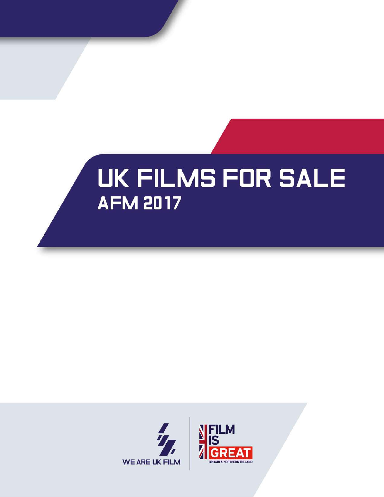# **UK FILMS FOR SALE AFM 2017**

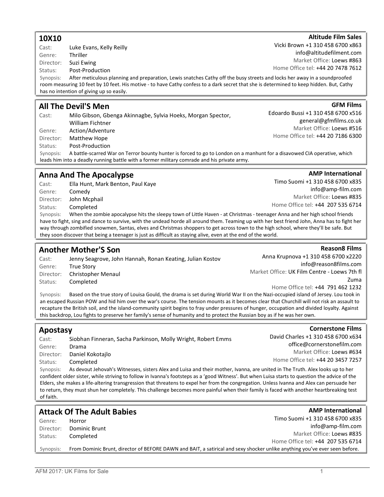### 10X10

Cast: Luke Evans, Kelly Reilly Genre: Thriller

Director: Suzi Ewing

Status: Post-Production

Synopsis: After meticulous planning and preparation, Lewis snatches Cathy off the busy streets and locks her away in a soundproofed room measuring 10 feet by 10 feet. His motive - to have Cathy confess to a dark secret that she is determined to keep hidden. But, Cathy has no intention of giving up so easily.

### All The Devil'S Men

Cast: Milo Gibson, Gbenga Akinnagbe, Sylvia Hoeks, Morgan Spector, William Fichtner Genre: Action/Adventure Director: Matthew Hope Status: Post-Production Synopsis: A battle-scarred War on Terror bounty hunter is forced to go to London on a manhunt for a disavowed CIA operative, which

leads him into a deadly running battle with a former military comrade and his private army.

## Anna And The Apocalypse

Cast: Ella Hunt, Mark Benton, Paul Kaye Genre: Comedy Director: John Mcphail Status: Completed Timo Suomi +1 310 458 6700 x835 info@amp-film.com Market Office: Loews #835 Home Office tel: +44 207 535 6714 Synopsis: When the zombie apocalypse hits the sleepy town of Little Haven - at Christmas - teenager Anna and her high school friends

have to fight, sing and dance to survive, with the undead horde all around them. Teaming up with her best friend John, Anna has to fight her way through zombified snowmen, Santas, elves and Christmas shoppers to get across town to the high school, where they'll be safe. But they soon discover that being a teenager is just as difficult as staying alive, even at the end of the world.

### Another Mother'S Son

Apostasy

Genre: Drama

Director: Daniel Kokotajlo Status: Completed

Cast: Jenny Seagrove, John Hannah, Ronan Keating, Julian Kostov Genre: True Story Director: Christopher Menaul Status: Completed

Cast: Siobhan Finneran, Sacha Parkinson, Molly Wright, Robert Emms

Anna Krupnova +1 310 458 6700 x2220 info@reason8films.com Market Office: UK Film Centre - Loews 7th fl Zuma Home Office tel: +44 791 462 1232

Synopsis: Based on the true story of Louisa Gould, the drama is set during World War II on the Nazi-occupied island of Jersey. Lou took in an escaped Russian POW and hid him over the war's course. The tension mounts as it becomes clear that Churchill will not risk an assault to recapture the British soil, and the island-community spirit begins to fray under pressures of hunger, occupation and divided loyalty. Against this backdrop, Lou fights to preserve her family's sense of humanity and to protect the Russian boy as if he was her own.

#### confident older sister, while striving to follow in Ivanna's footsteps as a 'good Witness'. But when Luisa starts to question the advice of the Elders, she makes a life-altering transgression that threatens to expel her from the congregation. Unless Ivanna and Alex can persuade her to return, they must shun her completely. This challenge becomes more painful when their family is faced with another heartbreaking test of faith. Attack Of The Adult Babies Genre: Horror Director: Dominic Brunt Status: Completed **AMP International** Timo Suomi +1 310 458 6700 x835 info@amp-film.com Market Office: Loews #835 Home Office tel: +44 207 535 6714 Synopsis: From Dominic Brunt, director of BEFORE DAWN and BAIT, a satirical and sexy shocker unlike anything you've ever seen before.

Synopsis: As devout Jehovah's Witnesses, sisters Alex and Luisa and their mother, Ivanna, are united in The Truth. Alex looks up to her

### Market Office: Loews #863

**AMP International** 

**Reason8 Films** 

Home Office tel: +44 20 7478 7612

Vicki Brown +1 310 458 6700 x863

**GFM Films** Edoardo Bussi +1 310 458 6700 x516

general@gfmfilms.co.uk Market Office: Loews #516 Home Office tel: +44 20 7186 6300

#### David Charles +1 310 458 6700 x634 office@cornerstonefilm.com

**Cornerstone Films** 

Market Office: Loews #634

Home Office tel: +44 20 3457 7257

**Altitude Film Sales** 

info@altitudefilment.com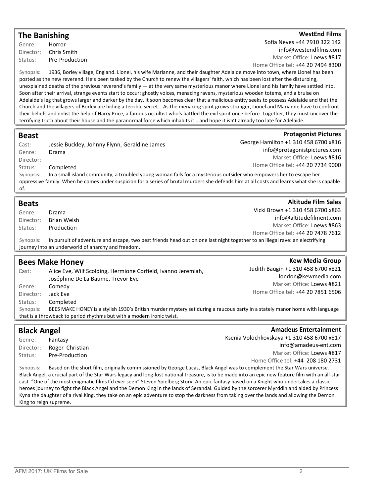### The Banishing

Genre: Horror Director: Chris Smith Status: Pre-Production

#### WestEnd Films

**Protagonist Pictures** 

Sofia Neves +44 7910 322 142 info@westendfilms.com Market Office: Loews #817

Home Office tel: +44 20 7494 8300

Synopsis: 1936, Borley village, England. Lionel, his wife Marianne, and their daughter Adelaide move into town, where Lionel has been posted as the new reverend. He's been tasked by the Church to renew the villagers' faith, which has been lost after the disturbing, unexplained deaths of the previous reverend's family — at the very same mysterious manor where Lionel and his family have settled into. Soon after their arrival, strange events start to occur: ghostly voices, menacing ravens, mysterious wooden totems, and a bruise on Adelaide's leg that grows larger and darker by the day. It soon becomes clear that a malicious entity seeks to possess Adelaide and that the Church and the villagers of Borley are hiding a terrible secret… As the menacing spirit grows stronger, Lionel and Marianne have to confront their beliefs and enlist the help of Harry Price, a famous occultist who's battled the evil spirit once before. Together, they must uncover the terrifying truth about their house and the paranormal force which inhabits it… and hope it isn't already too late for Adelaide.

### Beast

| Cast:     | Jessie Buckley, Johnny Flynn, Geraldine James                                                                      | George Hamilton +1 310 458 6700 x816                                                                                                        |
|-----------|--------------------------------------------------------------------------------------------------------------------|---------------------------------------------------------------------------------------------------------------------------------------------|
| Genre:    | Drama                                                                                                              | info@protagonistpictures.com                                                                                                                |
| Director: |                                                                                                                    | Market Office: Loews #816                                                                                                                   |
| Status:   | Completed                                                                                                          | Home Office tel: +44 20 7734 9000                                                                                                           |
| Synopsis: | In a small island community, a troubled young woman falls for a mysterious outsider who empowers her to escape her |                                                                                                                                             |
|           |                                                                                                                    | oppressive family. When he comes under suspicion for a series of brutal murders she defends him at all costs and learns what she is capable |
| of.       |                                                                                                                    |                                                                                                                                             |

| <b>Beats</b> |                                                                                                                              | <b>Altitude Film Sales</b>        |
|--------------|------------------------------------------------------------------------------------------------------------------------------|-----------------------------------|
| Genre:       | Drama                                                                                                                        | Vicki Brown +1 310 458 6700 x863  |
| Director:    | Brian Welsh                                                                                                                  | info@altitudefilment.com          |
| Status:      | Production                                                                                                                   | Market Office: Loews #863         |
|              |                                                                                                                              | Home Office tel: +44 20 7478 7612 |
| Synopsis:    | In pursuit of adventure and escape, two best friends head out on one last night together to an illegal rave: an electrifying |                                   |
|              | journey into an underworld of anarchy and freedom.                                                                           |                                   |

|                                                                       | <b>Bees Make Honey</b>                                                                                                      | <b>Kew Media Group</b>             |
|-----------------------------------------------------------------------|-----------------------------------------------------------------------------------------------------------------------------|------------------------------------|
| Cast:                                                                 | Alice Eve, Wilf Scolding, Hermione Corfield, Ivanno Jeremiah,                                                               | Judith Baugin +1 310 458 6700 x821 |
|                                                                       | Joséphine De La Baume, Trevor Eve                                                                                           | london@kewmedia.com                |
| Genre:                                                                | Comedy                                                                                                                      | Market Office: Loews #821          |
| Director:                                                             | Jack Eve                                                                                                                    | Home Office tel: +44 20 7851 6506  |
| Status:                                                               | Completed                                                                                                                   |                                    |
| Synopsis:                                                             | BEES MAKE HONEY is a stylish 1930's British murder mystery set during a raucous party in a stately manor home with language |                                    |
| that is a throwback to period rhythms but with a modern ironic twist. |                                                                                                                             |                                    |

| <b>Black Angel</b>                                                                                                                                |                 | <b>Amadeus Entertainment</b>                                                                                            |
|---------------------------------------------------------------------------------------------------------------------------------------------------|-----------------|-------------------------------------------------------------------------------------------------------------------------|
| Genre:                                                                                                                                            | Fantasy         | Ksenia Volochkovskaya +1 310 458 6700 x817                                                                              |
| Director:                                                                                                                                         | Roger Christian | info@amadeus-ent.com                                                                                                    |
| Status:                                                                                                                                           | Pre-Production  | Market Office: Loews #817                                                                                               |
|                                                                                                                                                   |                 | Home Office tel: +44 208 180 2731                                                                                       |
| Synopsis:                                                                                                                                         |                 | Based on the short film, originally commissioned by George Lucas, Black Angel was to complement the Star Wars universe. |
| Black Angel, a crucial part of the Star Wars legacy and long-lost national treasure, is to be made into an epic new feature film with an all-star |                 |                                                                                                                         |
| cast. "One of the most enigmatic films I'd ever seen" Steven Spielberg Story: An epic fantasy based on a Knight who undertakes a classic          |                 |                                                                                                                         |
| heroes journey to fight the Black Angel and the Demon King in the lands of Serandal. Guided by the sorcerer Myrddin and aided by Princess         |                 |                                                                                                                         |
| Kyna the daughter of a rival King, they take on an epic adventure to stop the darkness from taking over the lands and allowing the Demon          |                 |                                                                                                                         |

King to reign supreme.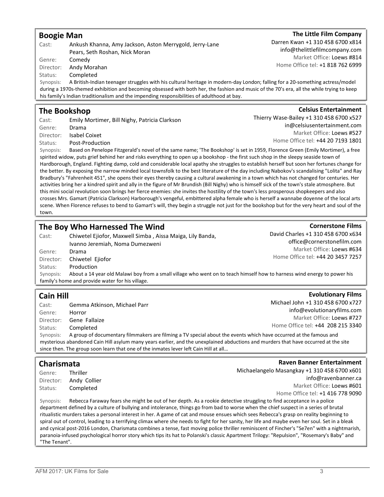#### AFM 2017: UK Films for Sale 3

| <b>Boogie Man</b>                 |                                                                                                                                                                                                                                                                                                         | The Little Film Company                                                                        |
|-----------------------------------|---------------------------------------------------------------------------------------------------------------------------------------------------------------------------------------------------------------------------------------------------------------------------------------------------------|------------------------------------------------------------------------------------------------|
| Cast:<br>Genre:                   | Ankush Khanna, Amy Jackson, Aston Merrygold, Jerry-Lane<br>Pears, Seth Roshan, Nick Moran<br>Comedy                                                                                                                                                                                                     | Darren Kwan +1 310 458 6700 x814<br>info@thelittlefilmcompany.com<br>Market Office: Loews #814 |
| Director:<br>Status:<br>Synopsis: | Andy Morahan<br>Completed<br>A British-Indian teenager struggles with his cultural heritage in modern-day London; falling for a 20-something actress/model<br>during a 1970s-themed exhibition and becoming obsessed with both her, the fashion and music of the 70's era, all the while trying to keep | Home Office tel: +1 818 762 6999                                                               |
|                                   | his family's Indian traditionalism and the impending responsibilities of adulthood at bay.                                                                                                                                                                                                              |                                                                                                |
|                                   | <b>The Bookshop</b>                                                                                                                                                                                                                                                                                     | <b>Celsius Entertainment</b>                                                                   |

### The Bookshop

Cast: Emily Mortimer, Bill Nighy, Patricia Clarkson Genre: Drama Director: Isabel Coixet Status: Post-Production

Synopsis: Based on Penelope Fitzgerald's novel of the same name; 'The Bookshop' is set in 1959, Florence Green (Emily Mortimer), a free spirited widow, puts grief behind her and risks everything to open up a bookshop - the first such shop in the sleepy seaside town of Hardborough, England. Fighting damp, cold and considerable local apathy she struggles to establish herself but soon her fortunes change for the better. By exposing the narrow minded local townsfolk to the best literature of the day including Nabokov's scandalising "Lolita" and Ray Bradbury's "Fahrenheit 451", she opens their eyes thereby causing a cultural awakening in a town which has not changed for centuries. Her activities bring her a kindred spirit and ally in the figure of Mr Brundish (Bill Nighy) who is himself sick of the town's stale atmosphere. But this mini social revolution soon brings her fierce enemies: she invites the hostility of the town's less prosperous shopkeepers and also crosses Mrs. Gamart (Patricia Clarkson) Harborough's vengeful, embittered alpha female who is herself a wannabe doyenne of the local arts scene. When Florence refuses to bend to Gamart's will, they begin a struggle not just for the bookshop but for the very heart and soul of the town.

### The Boy Who Harnessed The Wind

Cast: Chiwetel Ejiofor, Maxwell Simba , Aissa Maiga, Lily Banda, Ivanno Jeremiah, Noma Dumezweni Genre: Drama Director: Chiwetel Ejiofor Status: Production Synopsis: About a 14 year old Malawi boy from a small village who went on to teach himself how to harness wind energy to power his family's home and provide water for his village.

## Cain Hill

Cast: Gemma Atkinson, Michael Parr Genre: Horror Director: Gene Fallaize Status: Completed Michael John +1 310 458 6700 x727 info@evolutionaryfilms.com Market Office: Loews #727 Home Office tel: +44 208 215 3340 Synopsis: A group of documentary filmmakers are filming a TV special about the events which have occurred at the famous and mysterious abandoned Cain Hill asylum many years earlier, and the unexplained abductions and murders that have occurred at the site since then. The group soon learn that one of the inmates lever left Cain Hill at all…

## Charismata

Genre: Thriller Director: Andy Collier Status: Completed

Synopsis: Rebecca Faraway fears she might be out of her depth. As a rookie detective struggling to find acceptance in a police department defined by a culture of bullying and intolerance, things go from bad to worse when the chief suspect in a series of brutal ritualistic murders takes a personal interest in her. A game of cat and mouse ensues which sees Rebecca's grasp on reality beginning to spiral out of control, leading to a terrifying climax where she needs to fight for her sanity, her life and maybe even her soul. Set in a bleak and cynical post-2016 London, Charismata combines a tense, fast moving police thriller reminiscent of Fincher's "Se7en" with a nightmarish, paranoia-infused psychological horror story which tips its hat to Polanski's classic Apartment Trilogy: "Repulsion", "Rosemary's Baby" and "The Tenant".

David Charles +1 310 458 6700 x634 office@cornerstonefilm.com Market Office: Loews #634 Home Office tel: +44 20 3457 7257

**Cornerstone Films** 

**Evolutionary Films** 

Thierry Wase-Bailey +1 310 458 6700 x527 in@celsiusentertainment.com Market Office: Loews #527 Home Office tel: +44 20 7193 1801

### The Little Film Company

Raven Banner Entertainment

info@ravenbanner.ca Market Office: Loews #601 Home Office tel: +1 416 778 9090

Michaelangelo Masangkay +1 310 458 6700 x601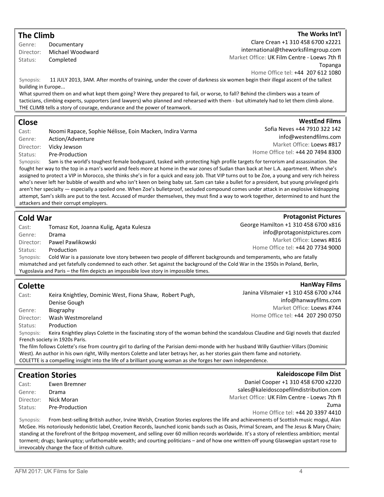## The Climb

Genre: Documentary Director: Michael Woodward Status: Completed

### The Works Int'l

WestEnd Films

**Protagonist Pictures** 

Clare Crean +1 310 458 6700 x2221 international@theworksfilmgroup.com Market Office: UK Film Centre - Loews 7th fl Topanga Home Office tel: +44 207 612 1080

Synopsis: 11 JULY 2013, 3AM. After months of training, under the cover of darkness six women begin their illegal ascent of the tallest building in Europe...

What spurred them on and what kept them going? Were they prepared to fail, or worse, to fall? Behind the climbers was a team of tacticians, climbing experts, supporters (and lawyers) who planned and rehearsed with them - but ultimately had to let them climb alone. THE CLIMB tells a story of courage, endurance and the power of teamwork.

### Close

Cast: Noomi Rapace, Sophie Nélisse, Eoin Macken, Indira Varma Genre: Action/Adventure Director: Vicky Jewson Status: Pre-Production

Sofia Neves +44 7910 322 142 info@westendfilms.com Market Office: Loews #817 Home Office tel: +44 20 7494 8300

Synopsis: Sam is the world's toughest female bodyguard, tasked with protecting high profile targets for terrorism and assassination. She fought her way to the top in a man's world and feels more at home in the war zones of Sudan than back at her L.A. apartment. When she's assigned to protect a VIP in Morocco, she thinks she's in for a quick and easy job. That VIP turns out to be Zoe, a young and very rich heiress who's never left her bubble of wealth and who isn't keen on being baby sat. Sam can take a bullet for a president, but young privileged girls aren't her specialty — especially a spoiled one. When Zoe's bulletproof, secluded compound comes under attack in an explosive kidnapping attempt, Sam's skills are put to the test. Accused of murder themselves, they must find a way to work together, determined to and hunt the attackers and their corrupt employers.

### Cold War

Cast: Tomasz Kot, Joanna Kulig, Agata Kulesza Genre: Drama Director: Pawel Pawlikowski Status: Production George Hamilton +1 310 458 6700 x816 info@protagonistpictures.com Market Office: Loews #816 Home Office tel: +44 20 7734 9000 Synopsis: Cold War is a passionate love story between two people of different backgrounds and temperaments, who are fatally mismatched and yet fatefully condemned to each other. Set against the background of the Cold War in the 1950s in Poland, Berlin, Yugoslavia and Paris – the film depicts an impossible love story in impossible times.

### Colette

Cast: Keira Knightley, Dominic West, Fiona Shaw, Robert Pugh, Denise Gough Genre: Biography Director: Wash Westmoreland Status: Production

HanWay Films Janina Vilsmaier +1 310 458 6700 x744 info@hanwayfilms.com Market Office: Loews #744 Home Office tel: +44 207 290 0750

Synopsis: Keira Knightley plays Colette in the fascinating story of the woman behind the scandalous Claudine and Gigi novels that dazzled French society in 1920s Paris.

The film follows Colette's rise from country girl to darling of the Parisian demi-monde with her husband Willy Gauthier-Villars (Dominic West). An author in his own right, Willy mentors Colette and later betrays her, as her stories gain them fame and notoriety. COLETTE is a compelling insight into the life of a brilliant young woman as she forges her own independence.

| <b>Creation Stories</b> |                | <b>Kaleidoscope Film Dist</b>                |
|-------------------------|----------------|----------------------------------------------|
| Cast:                   | Ewen Bremner   | Daniel Cooper +1 310 458 6700 x2220          |
| Genre:                  | Drama          | sales@kaleidoscopefilmdistribution.com       |
| Director:               | Nick Moran     | Market Office: UK Film Centre - Loews 7th fl |
| Status:                 | Pre-Production | Zuma                                         |
|                         |                | Home Office tel: +44 20 3397 4410            |
|                         |                |                                              |

Synopsis: From best-selling British author, Irvine Welsh, Creation Stories explores the life and achievements of Scottish music mogul, Alan McGee. His notoriously hedonistic label, Creation Records, launched iconic bands such as Oasis, Primal Scream, and The Jesus & Mary Chain; standing at the forefront of the Britpop movement, and selling over 60 million records worldwide. It's a story of relentless ambition; mental torment; drugs; bankruptcy; unfathomable wealth; and courting politicians – and of how one written-off young Glaswegian upstart rose to irrevocably change the face of British culture.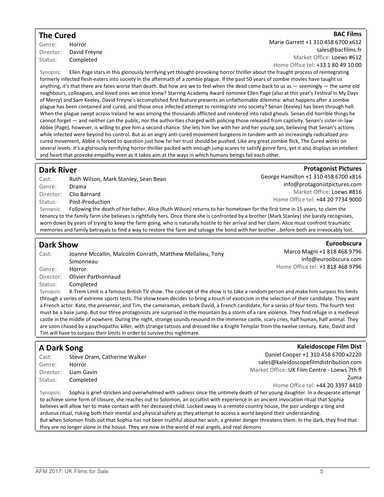### The Cured

Genre: Horror Director: David Freyne Status: Completed

**BAC Films** 

Marie Garrett +1 310 458 6700 x612

sales@bacfilms.fr

Market Office: Loews #612 Home Office tel: +33 1 80 49 10 00

Synopsis: Ellen Page stars in this gloriously terrifying yet thought-provoking horror thriller about the fraught process of reintegrating formerly infected flesh-eaters into society in the aftermath of a zombie plague. If the past 50 years of zombie movies have taught us anything, it's that there are fates worse than death. But how are we to feel when the dead come back to us as — seemingly — the same old neighbours, colleagues, and loved ones we once knew? Starring Academy Award nominee Ellen Page (also at this year's Festival in My Days of Mercy) and Sam Keeley, David Freyne's accomplished first feature presents an unfathomable dilemma: what happens after a zombie plague has been contained and cured, and those once infected attempt to reintegrate into society? Senan (Keeley) has been through hell. When the plague swept across Ireland he was among the thousands afflicted and rendered into rabid ghouls. Senan did horrible things he cannot forget — and neither can the public, nor the authorities charged with policing those released from captivity. Senan's sister-in-law Abbie (Page), however, is willing to give him a second chance. She lets him live with her and her young son, believing that Senan's actions while infected were beyond his control. But as an angry anti-cured movement burgeons in tandem with an increasingly radicalized procured movement, Abbie is forced to question just how far her trust should be pushed. Like any great zombie flick, The Cured works on several levels: it's a gloriously terrifying horror-thriller packed with enough jump scares to satisfy genre fans, yet it also displays an intellect and heart that provoke empathy even as it takes aim at the ways in which humans beings fail each other.

### Dark River

### **Protagonist Pictures**

| Cast:     | Ruth Wilson, Mark Stanley, Sean Bean                                                                                        | George Hamilton +1 310 458 6700 x816                                                                                                        |
|-----------|-----------------------------------------------------------------------------------------------------------------------------|---------------------------------------------------------------------------------------------------------------------------------------------|
| Genre:    | Drama                                                                                                                       | info@protagonistpictures.com                                                                                                                |
| Director: | Clio Barnard                                                                                                                | Market Office: Loews #816                                                                                                                   |
| Status:   | Post-Production                                                                                                             | Home Office tel: +44 20 7734 9000                                                                                                           |
| Synopsis: | Following the death of her father, Alice (Ruth Wilson) returns to her hometown for the first time in 15 years, to claim the |                                                                                                                                             |
|           |                                                                                                                             | tenancy to the family farm she believes is rightfully hers. Once there she is confronted by a brother (Mark Stanley) she barely recognises, |

tenancy to the family farm she believes is rightfully hers. Once there she is confronted by a brother (Mark Stanley) she barely recognises, worn down by years of trying to keep the farm going, who is naturally hostile to her arrival and her claim. Alice must confront traumatic memories and family betrayals to find a way to restore the farm and salvage the bond with her brother…before both are irrevocably lost.

### Dark Show

Cast: Joanne Mccallin, Malcolm Conrath, Matthew Mellalieu, Tony Simonneau Genre: Horror

Euroobscura Marco Magni +1 818 468 9796 info@euroobscura.com Home Office tel: +1 818 468 9796

Kaleidoscope Film Dist

Director: Olivier Parthonnaud

Status: Completed

Synopsis: X-Trem Limit is a famous British TV show. The concept of the show is to take a random person and make him surpass his limits through a series of extreme sports tests. The show team decides to bring a touch of exoticism in the selection of their candidate. They want a French actor. Kate, the presenter, and Tim, the cameraman, embark David, a French candidate, for a series of four tests. The fourth test must be a base jump. But our three protagonists are surprised in the mountain by a storm of a rare violence. They find refuge in a medieval castle in the middle of nowhere. During the night, strange sounds resound in the immense castle, scary cries, half human, half animal. They are soon chased by a psychopathic killer, with strange tattoos and dressed like a Knight Templar from the twelve century. Kate, David and Tim will have to surpass their limits in order to survive this nightmare.

### A Dark Song

| Cast:  | Steve Oram, Catherine Walker |
|--------|------------------------------|
| Genre: | Horror                       |
|        | Director: Liam Gavin         |
|        | Status: Completed            |
|        |                              |

Daniel Cooper +1 310 458 6700 x2220 sales@kaleidoscopefilmdistribution.com Market Office: UK Film Centre - Loews 7th fl Zuma Home Office tel: +44 20 3397 4410

Synopsis: Sophia is grief-stricken and overwhelmed with sadness since the untimely death of her young daughter. In a desperate attempt to achieve some form of closure, she reaches out to Solomon, an occultist with experience in an ancient invocation ritual that Sophia believes will allow her to make contact with her deceased child. Locked away in a remote country house, the pair undergo a long and arduous ritual, risking both their mental and physical safety as they attempt to access a world beyond their understanding. But when Solomon finds out that Sophia has not been truthful about her wish, a greater danger threatens them. In the dark, they find that they are no longer alone in the house. They are now in the world of real angels, and real demons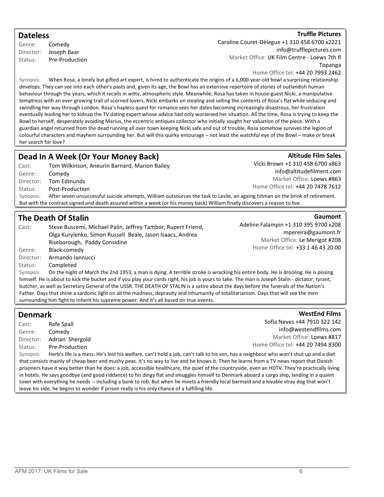### **Dateless**

Genre: Comedy Director: Joseph Baar Status: Pre-Production

#### **Truffle Pictures**

**Altitude Film Sales** 

Caroline Couret-Dèlegue +1 310 458 6700 x2221 info@trufflepictures.com Market Office: UK Film Centre - Loews 7th fl Topanga

Home Office tel: +44 20 7993 2462

Synopsis: When Rosa, a lonely but gifted art expert, is hired to authenticate the origins of a 6,000-year-old bowl a surprising relationship develops. They can see into each other's pasts and, given its age, the Bowl has an extensive repertoire of stories of outlandish human behaviour through the years, which it recalls in witty, atmospheric style. Meanwhile, Rosa has taken in house-guest Nicki, a manipulative temptress with an ever-growing trail of scorned lovers. Nicki embarks on stealing and selling the contents of Rosa's flat while seducing and swindling her way through London. Rosa's hapless quest for romance sees her dates becoming increasingly disastrous, her frustration eventually leading her to kidnap the TV dating expert whose advice had only worsened her situation. All the time, Rosa is trying to keep the Bowl to herself, desperately avoiding Marius, the eccentric antiques collector who initially sought her valuation of the piece. With a guardian angel returned from the dead running all over town keeping Nicki safe and out of trouble, Rosa somehow survives the legion of colourful characters and mayhem surrounding her. But will this quirky entourage – not least the watchful eye of the Bowl – make or break her search for love?

### Dead In A Week (Or Your Money Back)

| Cast:                                                                                                                                       | Tom Wilkinson, Aneurin Barnard, Marion Bailey | Vicki Brown +1 310 458 6700 x863  |
|---------------------------------------------------------------------------------------------------------------------------------------------|-----------------------------------------------|-----------------------------------|
| Genre:                                                                                                                                      | Comedy                                        | info@altitudefilment.com          |
| Director:                                                                                                                                   | Tom Edmunds                                   | Market Office: Loews #863         |
| Status:                                                                                                                                     | Post-Production                               | Home Office tel: +44 20 7478 7612 |
| After seven unsuccessful suicide attempts, William outsources the task to Leslie, an ageing hitman on the brink of retirement.<br>Synopsis: |                                               |                                   |
| But with the contract signed and death assured within a week (or his money back) William finally discovers a reason to live.                |                                               |                                   |

### The Death Of Stalin

Cast: Steve Buscemi, Michael Palin, Jeffrey Tambor, Rupert Friend, Olga Kurylenko, Simon Russell Beale, Jason Isaacs, Andrea Riseborough, Paddy Considine Genre: Black comedy Director: Armando Iannucci Status: Completed

**Gaumont** Adeline Falampin +1 310 395 9700 x208 mpereira@gaumont.fr Market Office: Le Merigot #208 Home Office tel: +33 1 46 43 20 00

Synopsis: On the night of March the 2nd 1953, a man is dying. A terrible stroke is wracking his entire body. He is drooling. He is pissing himself. He is about to kick the bucket and if you play your cards right, his job is yours to take. The man is Joseph Stalin - dictator, tyrant, butcher, as well as Secretary General of the USSR. THE DEATH OF STALIN is a satire about the days before the funerals of the Nation's Father. Days that shine a sardonic light on all the madness, depravity and inhumanity of totalitarianism. Days that will see the men surrounding him fight to inherit his supreme power. And it's all based on true events.

### Denmark

Cast: Rafe Spall Genre: Comedy Director: Adrian Shergold Status: Pre-Production

WestEnd Films Sofia Neves +44 7910 322 142 info@westendfilms.com Market Office: Loews #817 Home Office tel: +44 20 7494 8300

Synopsis: Herb's life is a mess. He's lost his welfare, can't hold a job, can't talk to his son, has a neighbour who won't shut up and a diet that consists mainly of cheap beer and mushy peas. It's no way to live and he knows it. Then he learns from a TV news report that Danish prisoners have it way better than he does: a job, accessible healthcare, the quiet of the countryside, even an HDTV. They're practically living in hotels. He says goodbye (and good riddance) to his dingy flat and smuggles himself to Denmark aboard a cargo ship, landing in a quaint town with everything he needs -- including a bank to rob. But when he meets a friendly local barmaid and a lovable stray dog that won't leave his side, he begins to wonder if prison really is his only chance of a fulfilling life.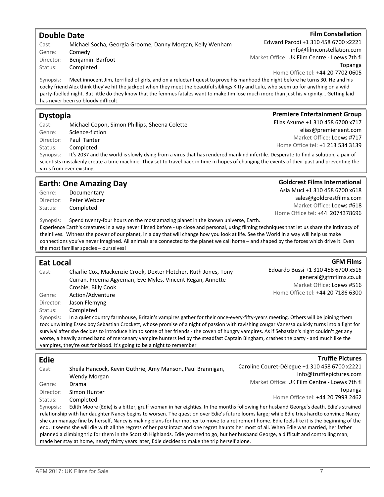### Double Date Cast: Michael Socha, Georgia Groome, Danny Morgan, Kelly Wenham Status: Completed Edward Parodi +1 310 458 6700 x2221 info@filmconstellation.com Synopsis: Meet innocent Jim, terrified of girls, and on a reluctant quest to prove his manhood the night before he turns 30. He and his cocky friend Alex think they've hit the jackpot when they meet the beautiful siblings Kitty and Lulu, who seem up for anything on a wild party-fuelled night. But little do they know that the femmes fatales want to make Jim lose much more than just his virginity… Getting laid has never been so bloody difficult. Dystopia **Premiere Entertainment Group** Elias Axume +1 310 458 6700 x717

Cast: Michael Copon, Simon Phillips, Sheena Colette Genre: Science-fiction Director: Paul Tanter Status: Completed elias@premiereent.com Market Office: Loews #717 Home Office tel: +1 213 534 3139 Synopsis: It's 2037 and the world is slowly dying from a virus that has rendered mankind infertile. Desperate to find a solution, a pair of scientists mistakenly create a time machine. They set to travel back in time in hopes of changing the events of their past and preventing the virus from ever existing.

### Earth: One Amazing Day

| Genre:    | Documentary  |
|-----------|--------------|
| Director: | Peter Webber |
| Status:   | Completed    |

Synopsis: Spend twenty-four hours on the most amazing planet in the known universe, Earth.

Experience Earth's creatures in a way never filmed before - up close and personal, using filming techniques that let us share the intimacy of their lives. Witness the power of our planet, in a day that will change how you look at life. See the World in a way will help us make connections you've never imagined. All animals are connected to the planet we call home – and shaped by the forces which drive it. Even the most familiar species – ourselves!

#### Eat Local Cast: Charlie Cox, Mackenzie Crook, Dexter Fletcher, Ruth Jones, Tony Curran, Freema Agyeman, Eve Myles, Vincent Regan, Annette Crosbie, Billy Cook Genre: Action/Adventure Director: Jason Flemyng Status: Completed Edoardo Bussi +1 310 458 6700 x516 Synopsis: In a quiet country farmhouse, Britain's vampires gather for their once-every-fifty-years meeting. Others will be joining them too: unwitting Essex boy Sebastian Crockett, whose promise of a night of passion with ravishing cougar Vanessa quickly turns into a fight for survival after she decides to introduce him to some of her friends - the coven of hungry vampires. As if Sebastian's night couldn't get any worse, a heavily armed band of mercenary vampire hunters led by the steadfast Captain Bingham, crashes the party - and much like the vampires, they're out for blood. It's going to be a night to remember Edie Cast: Sheila Hancock, Kevin Guthrie, Amy Manson, Paul Brannigan, Wendy Morgan Genre: Drama Director: Simon Hunter **Truffle Pictures** Caroline Couret-Dèlegue +1 310 458 6700 x2221 info@trufflepictures.com Market Office: UK Film Centre - Loews 7th fl Topanga

Status: Completed Synopsis: Edith Moore (Edie) is a bitter, gruff woman in her eighties. In the months following her husband George's death, Edie's strained relationship with her daughter Nancy begins to worsen. The question over Edie's future looms large; while Edie tries hardto convince Nancy she can manage fine by herself, Nancy is making plans for her mother to move to a retirement home. Edie feels like it is the beginning of the end. It seems she will die with all the regrets of her past intact and one regret haunts her most of all. When Edie was married, her father planned a climbing trip for them in the Scottish Highlands. Edie yearned to go, but her husband George, a difficult and controlling man, made her stay at home, nearly thirty years later, Edie decides to make the trip herself alone.

Home Office tel: +44 20 7993 2462

### **Film Constellation**

## Market Office: UK Film Centre - Loews 7th fl Topanga Home Office tel: +44 20 7702 0605

### Goldcrest Films International

Asia Muci +1 310 458 6700 x618 sales@goldcrestfilms.com Market Office: Loews #618 Home Office tel: +44 2074378696

#### **GFM Films**

### general@gfmfilms.co.uk Market Office: Loews #516 Home Office tel: +44 20 7186 6300

Genre: Comedy Director: Benjamin Barfoot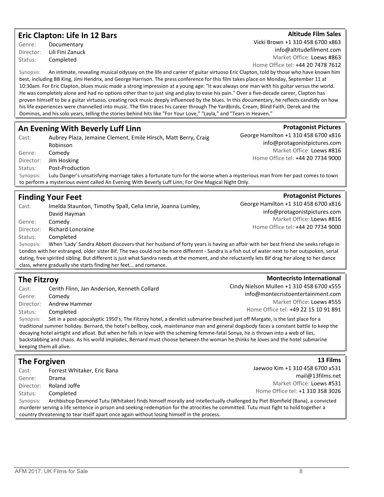### Eric Clapton: Life In 12 Bars

Genre: Documentary Director: Lili Fini Zanuck Status: Completed

**Altitude Film Sales** Vicki Brown +1 310 458 6700 x863 info@altitudefilment.com Market Office: Loews #863 Home Office tel: +44 20 7478 7612

Synopsis: An intimate, revealing musical odyssey on the life and career of guitar virtuoso Eric Clapton, told by those who have known him best, including BB King, Jimi Hendrix, and George Harrison. The press conference for this film takes place on Monday, September 11 at 10:30am. For Eric Clapton, blues music made a strong impression at a young age: "It was always one man with his guitar versus the world. He was completely alone and had no options other than to just sing and play to ease his pain." Over a five-decade career, Clapton has proven himself to be a guitar virtuoso, creating rock music deeply influenced by the blues. In this documentary, he reflects candidly on how his life experiences were channelled into music. The film traces his career through The Yardbirds, Cream, Blind Faith, Derek and the Dominos, and his solo years, telling the stories behind hits like "For Your Love," "Layla," and "Tears in Heaven."

### An Evening With Beverly Luff Linn

| Cast:     | Aubrey Plaza, Jemaine Clement, Emile Hirsch, Matt Berry, Craig                                                             | George Hamilton +1 310 458 6700 x816 |
|-----------|----------------------------------------------------------------------------------------------------------------------------|--------------------------------------|
|           | Robinson                                                                                                                   | info@protagonistpictures.com         |
| Genre:    | Comedy                                                                                                                     | Market Office: Loews #816            |
| Director: | Jim Hosking                                                                                                                | Home Office tel: +44 20 7734 9000    |
| Status:   | Post-Production                                                                                                            |                                      |
| Synopsis: | Lulu Danger's unsatisfying marriage takes a fortunate turn for the worse when a mysterious man from her past comes to town |                                      |
|           | to perform a mysterious event called An Evening With Beverly Luff Linn; For One Magical Night Only.                        |                                      |

### Finding Your Feet

| Cast:     | Imelda Staunton, Timothy Spall, Celia Imrie, Joanna Lumley,                                                                                    | George Hamilton +1 310 458 6700 x81 |
|-----------|------------------------------------------------------------------------------------------------------------------------------------------------|-------------------------------------|
|           | David Hayman                                                                                                                                   | info@protagonistpictures.com        |
| Genre:    | Comedy                                                                                                                                         | Market Office: Loews #81            |
| Director: | <b>Richard Loncraine</b>                                                                                                                       | Home Office tel: +44 20 7734 900    |
| Status:   | Completed                                                                                                                                      |                                     |
| Synopsis: | When 'Lady' Sandra Abbott discovers that her husband of forty years is having an affair with her best friend she seeks refuge i                |                                     |
|           | London with her estranged, older sister Bif. The two could not be more different - Sandra is a fish out of water next to her outspoken, seria  |                                     |
|           | dating, free spirited sibling. But different is just what Sandra needs at the moment, and she reluctantly lets Bif drag her along to her dance |                                     |

class, where gradually she starts finding her feet... and romance.

### The Fitzroy

| Cast:     | Cerith Flinn, Jan Anderson, Kenneth Collard                                                                                         | Cindy Nielson Mullen +1 310 458 6700 x555                                                                                                |
|-----------|-------------------------------------------------------------------------------------------------------------------------------------|------------------------------------------------------------------------------------------------------------------------------------------|
| Genre:    | Comedy                                                                                                                              | info@montecristoentertainment.com                                                                                                        |
| Director: | Andrew Hammer                                                                                                                       | Market Office: Loews #555                                                                                                                |
| Status:   | Completed                                                                                                                           | Home Office tel: +49 22 15 10 91 891                                                                                                     |
| Synopsis: | Set in a post-apocalyptic 1950's, The Fitzroy hotel, a derelict submarine beached just off Margate, is the last place for a         |                                                                                                                                          |
|           |                                                                                                                                     | traditional summer holiday. Bernard, the hotel's bellboy, cook, maintenance man and general dogsbody faces a constant battle to keep the |
|           | decaying hotel airtight and afloat. But when he falls in love with the scheming femme-fatal Sonya, he is thrown into a web of lies, |                                                                                                                                          |

decaying hotel airtight and afloat. But when he falls in love with the scheming femme-fatal Sonya, he is thrown into a web of lies, backstabbing and chaos. As his world implodes, Bernard must choose between the woman he thinks he loves and the hotel submarine keeping them all alive.

### The Forgiven

| Cast:                                                                                      | Forrest Whitaker, Eric Bana                                                                                                           | Jaewoo Kim +1 310 458 6700 x531                                                                                              |
|--------------------------------------------------------------------------------------------|---------------------------------------------------------------------------------------------------------------------------------------|------------------------------------------------------------------------------------------------------------------------------|
| Genre:                                                                                     | Drama                                                                                                                                 | mail@13films.net                                                                                                             |
| Director:                                                                                  | Roland Joffe                                                                                                                          | Market Office: Loews #531                                                                                                    |
| Status:                                                                                    | Completed                                                                                                                             | Home Office tel: +1 310 358 3026                                                                                             |
| Synopsis:                                                                                  |                                                                                                                                       | Archbishop Desmond Tutu (Whitaker) finds himself morally and intellectually challenged by Piet Blomfield (Bana), a convicted |
|                                                                                            | murderer serving a life sentence in prison and seeking redemption for the atrocities he committed. Tutu must fight to hold together a |                                                                                                                              |
| country threatening to tear itself apart once again without losing himself in the process. |                                                                                                                                       |                                                                                                                              |

13 Films

Jaewoo Kim +1 310 458 6700 x531 mail@13films.net Market Office: Loews #531

310 458 6700 x816

**Protagonist Pictures** 

gonistpictures.com Office: Loews #816 +44 20 7734 9000

**Montecristo International** 

**Protagonist Pictures**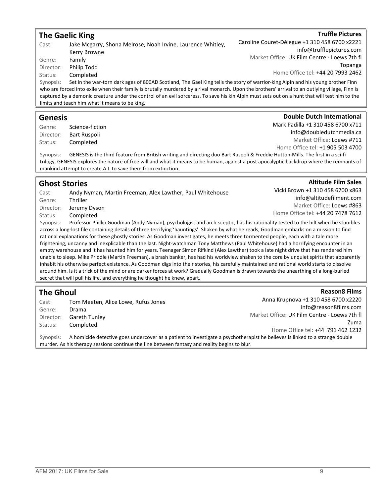|                                                                                                                                                 | <b>The Gaelic King</b>                                                                                                          | <b>Truffle Pictures</b>                       |
|-------------------------------------------------------------------------------------------------------------------------------------------------|---------------------------------------------------------------------------------------------------------------------------------|-----------------------------------------------|
| Cast:                                                                                                                                           | Jake Mcgarry, Shona Melrose, Noah Irvine, Laurence Whitley,                                                                     | Caroline Couret-Dèlegue +1 310 458 6700 x2221 |
|                                                                                                                                                 | Kerry Browne                                                                                                                    | info@trufflepictures.com                      |
| Genre:                                                                                                                                          | Family                                                                                                                          | Market Office: UK Film Centre - Loews 7th fl  |
| Director:                                                                                                                                       | Philip Todd                                                                                                                     | Topanga                                       |
| Status:                                                                                                                                         | Completed                                                                                                                       | Home Office tel: +44 20 7993 2462             |
| Synopsis:                                                                                                                                       | Set in the war-torn dark ages of 800AD Scotland, The Gael King tells the story of warrior-king Alpin and his young brother Finn |                                               |
| who are forced into exile when their family is brutally murdered by a rival monarch. Upon the brothers' arrival to an outlying village, Finn is |                                                                                                                                 |                                               |
| captured by a demonic creature under the control of an evil sorceress. To save his kin Alpin must sets out on a hunt that will test him to the  |                                                                                                                                 |                                               |
|                                                                                                                                                 | limits and teach him what it means to be king.                                                                                  |                                               |
|                                                                                                                                                 |                                                                                                                                 |                                               |
| Ganacic                                                                                                                                         |                                                                                                                                 | <b>Double Dutch International</b>             |

### Genesis

Genre: Science-fiction Director: Bart Ruspoli Status: Completed

Mark Padilla +1 310 458 6700 x711 info@doubledutchmedia.ca Market Office: Loews #711 Home Office tel: +1 905 503 4700

Vicki Brown +1 310 458 6700 x863

Home Office tel: +44 20 7478 7612

**Altitude Film Sales** 

Reason8 Films

info@altitudefilment.com Market Office: Loews #863

Synopsis: GENESIS is the third feature from British writing and directing duo Bart Ruspoli & Freddie Hutton-Mills. The first in a sci-fi trilogy, GENESIS explores the nature of free will and what it means to be human, against a post apocalyptic backdrop where the remnants of mankind attempt to create A.I. to save them from extinction.

### Ghost Stories

Cast: Andy Nyman, Martin Freeman, Alex Lawther, Paul Whitehouse Genre: Thriller Director: Jeremy Dyson Status: Completed

Synopsis: Professor Phillip Goodman (Andy Nyman), psychologist and arch-sceptic, has his rationality tested to the hilt when he stumbles across a long-lost file containing details of three terrifying 'hauntings'. Shaken by what he reads, Goodman embarks on a mission to find rational explanations for these ghostly stories. As Goodman investigates, he meets three tormented people, each with a tale more frightening, uncanny and inexplicable than the last. Night-watchman Tony Matthews (Paul Whitehouse) had a horrifying encounter in an empty warehouse and it has haunted him for years. Teenager Simon Rifkind (Alex Lawther) took a late night drive that has rendered him unable to sleep. Mike Priddle (Martin Freeman), a brash banker, has had his worldview shaken to the core by unquiet spirits that apparently inhabit his otherwise perfect existence. As Goodman digs into their stories, his carefully maintained and rational world starts to dissolve around him. Is it a trick of the mind or are darker forces at work? Gradually Goodman is drawn towards the unearthing of a long-buried secret that will pull his life, and everything he thought he knew, apart.

### The Ghoul

| Cast:     | Tom Meeten, Alice Lowe, Rufus Jones                                                           | Anna Krupnova +1 310 458 6700 x2220                                                                                          |
|-----------|-----------------------------------------------------------------------------------------------|------------------------------------------------------------------------------------------------------------------------------|
| Genre:    | Drama                                                                                         | info@reason8films.com                                                                                                        |
| Director: | Gareth Tunley                                                                                 | Market Office: UK Film Centre - Loews 7th fl                                                                                 |
| Status:   | Completed                                                                                     | Zuma                                                                                                                         |
|           |                                                                                               | Home Office tel: +44 791 462 1232                                                                                            |
| Synopsis: |                                                                                               | A homicide detective goes undercover as a patient to investigate a psychotherapist he believes is linked to a strange double |
|           | murder. As his therapy sessions continue the line between fantasy and reality begins to blur. |                                                                                                                              |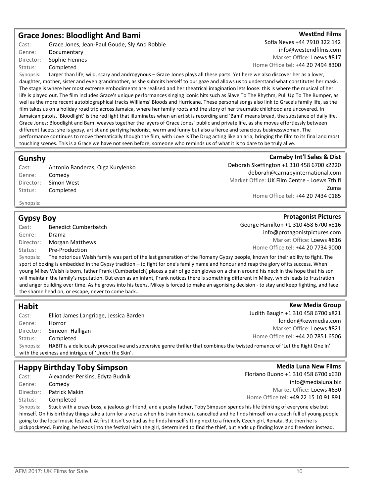### Grace Jones: Bloodlight And Bami

Cast: Grace Jones, Jean-Paul Goude, Sly And Robbie Genre: Documentary Director: Sophie Fiennes Status: Completed

WestEnd Films Sofia Neves +44 7910 322 142 info@westendfilms.com Market Office: Loews #817 Home Office tel: +44 20 7494 8300

Synopsis: Larger than life, wild, scary and androgynous – Grace Jones plays all these parts. Yet here we also discover her as a lover, daughter, mother, sister and even grandmother, as she submits herself to our gaze and allows us to understand what constitutes her mask. The stage is where her most extreme embodiments are realised and her theatrical imagination lets loose: this is where the musical of her life is played out. The film includes Grace's unique performances singing iconic hits such as Slave To The Rhythm, Pull Up To The Bumper, as well as the more recent autobiographical tracks Williams' Bloods and Hurricane. These personal songs also link to Grace's family life, as the film takes us on a holiday road trip across Jamaica, where her family roots and the story of her traumatic childhood are uncovered. In Jamaican patois, 'Bloodlight' is the red light that illuminates when an artist is recording and 'Bami' means bread, the substance of daily life. Grace Jones: Bloodlight and Bami weaves together the layers of Grace Jones' public and private life, as she moves effortlessly between different facets: she is gypsy, artist and partying hedonist, warm and funny but also a fierce and tenacious businesswoman. The performance continues to move thematically though the film, with Love Is The Drug acting like an aria, bringing the film to its final and most touching scenes. This is a Grace we have not seen before, someone who reminds us of what it is to dare to be truly alive.

### Gunshy

| Cast:     | Antonio Banderas, Olga Kurylenko |
|-----------|----------------------------------|
| Genre:    | Comedy                           |
| Director: | Simon West                       |
| Status:   | Completed                        |

Carnaby Int'l Sales & Dist Deborah Skeffington +1 310 458 6700 x2220 deborah@carnabyinternational.com Market Office: UK Film Centre - Loews 7th fl Zuma Home Office tel: +44 20 7434 0185

George Hamilton +1 310 458 6700 x816

info@protagonistpictures.com Market Office: Loews #816

Home Office tel: +44 20 7734 9000

**Protagonist Pictures** 

### Synopsis:

### Gypsy Boy

Cast: Benedict Cumberbatch Genre: Drama Director: Morgan Matthews Status: Pre-Production Synopsis: The notorious Walsh family was part of the last generation of the Romany Gypsy people, known for their ability to fight. The sport of boxing is embedded in the Gypsy tradition – to fight for one's family name and honour and reap the glory of its success. When young Mikey Walsh is born, father Frank (Cumberbatch) places a pair of golden gloves on a chain around his neck in the hope that his son will maintain the family's reputation. But even as an infant, Frank notices there is something different in Mikey, which leads to frustration

Habit Cast: Elliot James Langridge, Jessica Barden Genre: Horror Director: Simeon Halligan Status: Completed **Kew Media Group** Judith Baugin +1 310 458 6700 x821 london@kewmedia.com Market Office: Loews #821 Home Office tel: +44 20 7851 6506 Synopsis: HABIT is a deliciously provocative and subversive genre thriller that combines the twisted romance of 'Let the Right One In' with the sexiness and intrigue of 'Under the Skin'.

and anger building over time. As he grows into his teens, Mikey is forced to make an agonising decision - to stay and keep fighting, and face

### Happy Birthday Toby Simpson

Cast: Alexander Perkins, Edyta Budnik Genre: Comedy Director: Patrick Makin Status: Completed

the shame head on, or escape, never to come back…

**Media Luna New Films** Floriano Buono +1 310 458 6700 x630 info@medialuna.biz Market Office: Loews #630 Home Office tel: +49 22 15 10 91 891

Synopsis: Stuck with a crazy boss, a jealous girlfriend, and a pushy father, Toby Simpson spends his life thinking of everyone else but himself. On his birthday things take a turn for a worse when his train home is cancelled and he finds himself on a coach full of young people going to the local music festival. At first it isn't so bad as he finds himself sitting next to a friendly Czech girl, Renata. But then he is pickpocketed. Fuming, he heads into the festival with the girl, determined to find the thief, but ends up finding love and freedom instead.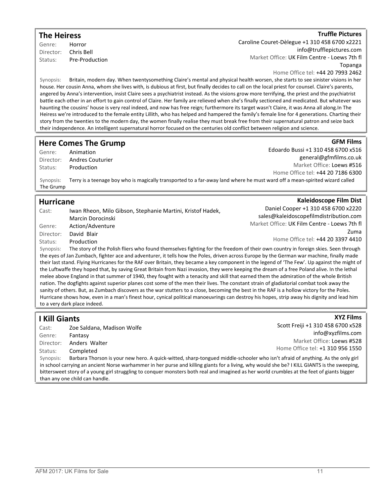### The Heiress Genre: Horror

Director: Chris Bell Status: Pre-Production **Truffle Pictures** 

**GFM Films** 

**XYZ Films** 

Caroline Couret-Dèlegue +1 310 458 6700 x2221 info@trufflepictures.com Market Office: UK Film Centre - Loews 7th fl Topanga

Home Office tel: +44 20 7993 2462

Synopsis: Britain, modern day. When twentysomething Claire's mental and physical health worsen, she starts to see sinister visions in her house. Her cousin Anna, whom she lives with, is dubious at first, but finally decides to call on the local priest for counsel. Claire's parents, angered by Anna's intervention, insist Claire sees a psychiatrist instead. As the visions grow more terrifying, the priest and the psychiatrist battle each other in an effort to gain control of Claire. Her family are relieved when she's finally sectioned and medicated. But whatever was haunting the cousins' house is very real indeed, and now has free reign; furthermore its target wasn't Claire, it was Anna all along.In The Heiress we're introduced to the female entity Lillith, who has helped and hampered the family's female line for 4 generations. Charting their story from the twenties to the modern day, the women finally realise they must break free from their supernatural patron and seize back their independence. An intelligent supernatural horror focused on the centuries old conflict between religion and science.

### Here Comes The Grump

Genre: Animation Director: Andres Couturier Status: Production

Edoardo Bussi +1 310 458 6700 x516 general@gfmfilms.co.uk Market Office: Loews #516 Home Office tel: +44 20 7186 6300

Kaleidoscope Film Dist

Synopsis: Terry is a teenage boy who is magically transported to a far-away land where he must ward off a mean-spirited wizard called The Grump

### Hurricane

| Daniel Cooper +1 310 458 6700 x2220<br>Iwan Rheon, Milo Gibson, Stephanie Martini, Kristof Hadek,<br>Cast:                                    |      |
|-----------------------------------------------------------------------------------------------------------------------------------------------|------|
| sales@kaleidoscopefilmdistribution.com<br>Marcin Dorocinski                                                                                   |      |
| Market Office: UK Film Centre - Loews 7th fl<br>Action/Adventure<br>Genre:                                                                    |      |
| David Blair<br>Director:                                                                                                                      | Zuma |
| Home Office tel: +44 20 3397 4410<br>Production<br>Status:                                                                                    |      |
| The story of the Polish fliers who found themselves fighting for the freedom of their own country in foreign skies. Seen through<br>Synopsis: |      |
| the eyes of Jan Zumbach, fighter ace and adventurer, it tells how the Poles, driven across Europe by the German war machine, finally made     |      |

their last stand. Flying Hurricanes for the RAF over Britain, they became a key component in the legend of 'The Few'. Up against the might of the Luftwaffe they hoped that, by saving Great Britain from Nazi invasion, they were keeping the dream of a free Poland alive. In the lethal melee above England in that summer of 1940, they fought with a tenacity and skill that earned them the admiration of the whole British nation. The dogfights against superior planes cost some of the men their lives. The constant strain of gladiatorial combat took away the sanity of others. But, as Zumbach discovers as the war stutters to a close, becoming the best in the RAF is a hollow victory for the Poles. Hurricane shows how, even in a man's finest hour, cynical political manoeuvrings can destroy his hopes, strip away his dignity and lead him to a very dark place indeed.

### I Kill Giants

Cast: Zoe Saldana, Madison Wolfe Genre: Fantasy Director: Anders Walter Status: Completed Scott Freiji +1 310 458 6700 x528 info@xyzfilms.com Market Office: Loews #528 Home Office tel: +1 310 956 1550 Synopsis: Barbara Thorson is your new hero. A quick-witted, sharp-tongued middle-schooler who isn't afraid of anything. As the only girl in school carrying an ancient Norse warhammer in her purse and killing giants for a living, why would she be? I KILL GIANTS is the sweeping, bittersweet story of a young girl struggling to conquer monsters both real and imagined as her world crumbles at the feet of giants bigger

than any one child can handle.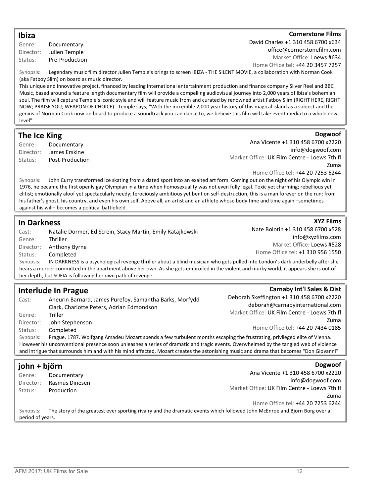### Ibiza

#### Genre: Documentary Director: Julien Temple Status: Pre-Production

### **Cornerstone Films**

Dogwoof

**XYZ Films** 

Carnaby Int'l Sales & Dist

David Charles +1 310 458 6700 x634 office@cornerstonefilm.com Market Office: Loews #634 Home Office tel: +44 20 3457 7257

Synopsis: Legendary music film director Julien Temple's brings to screen IBIZA - THE SILENT MOVIE, a collaboration with Norman Cook (aka Fatboy Slim) on board as music director.

This unique and innovative project, financed by leading international entertainment production and finance company Silver Reel and BBC Music, based around a feature length documentary film will provide a compelling audiovisual journey into 2,000 years of Ibiza's bohemian soul. The film will capture Temple's iconic style and will feature music from and curated by renowned artist Fatboy Slim (RIGHT HERE, RIGHT NOW; PRAISE YOU; WEAPON OF CHOICE). Temple says; "With the incredible 2,000 year history of this magical island as a subject and the genius of Norman Cook now on board to produce a soundtrack you can dance to, we believe this film will take event media to a whole new level"

### The Ice King

Genre: Documentary Director: James Erskine Status: Post-Production

Ana Vicente +1 310 458 6700 x2220 info@dogwoof.com Market Office: UK Film Centre - Loews 7th fl Zuma Home Office tel: +44 20 7253 6244

Synopsis: John Curry transformed ice skating from a dated sport into an exalted art form. Coming out on the night of his Olympic win in 1976, he became the first openly gay Olympian in a time when homosexuality was not even fully legal. Toxic yet charming; rebellious yet elitist; emotionally aloof yet spectacularly needy; ferociously ambitious yet bent on self-destruction, this is a man forever on the run: from his father's ghost, his country, and even his own self. Above all, an artist and an athlete whose body time and time again –sometimes against his will– becomes a political battlefield.

### In Darkness

| Cast:                                                     | Natalie Dormer, Ed Screin, Stacy Martin, Emily Ratajkowski                                                                              | Nate Bolotin +1 310 458 6700 x528 |
|-----------------------------------------------------------|-----------------------------------------------------------------------------------------------------------------------------------------|-----------------------------------|
| Genre:                                                    | Thriller                                                                                                                                | info@xyzfilms.com                 |
|                                                           |                                                                                                                                         | Market Office: Loews #528         |
| Director:                                                 | Anthony Byrne                                                                                                                           | Home Office tel: +1 310 956 1550  |
| Status:                                                   | Completed                                                                                                                               |                                   |
| Synopsis:                                                 | IN DARKNESS is a psychological revenge thriller about a blind musician who gets pulled into London's dark underbelly after she          |                                   |
|                                                           | hears a murder committed in the apartment above her own. As she gets embroiled in the violent and murky world, it appears she is out of |                                   |
| her depth, but SOFIA is following her own path of revenge |                                                                                                                                         |                                   |

### Interlude In Prague

| Cast:     | Aneurin Barnard, James Purefoy, Samantha Barks, Morfydd<br>Clark, Charlotte Peters, Adrian Edmondson                                    | Deborah Skeffington +1 310 458 6700 x2220<br>deborah@carnabyinternational.com |
|-----------|-----------------------------------------------------------------------------------------------------------------------------------------|-------------------------------------------------------------------------------|
| Genre:    | Triller                                                                                                                                 | Market Office: UK Film Centre - Loews 7th fl                                  |
| Director: | John Stephenson                                                                                                                         | Zuma                                                                          |
| Status:   | Completed                                                                                                                               | Home Office tel: +44 20 7434 0185                                             |
| Synopsis: | Prague, 1787. Wolfgang Amadeu Mozart spends a few turbulent months escaping the frustrating, privileged elite of Vienna.                |                                                                               |
|           | However his unconventional presence soon unleashes a series of dramatic and tragic events. Overwhelmed by the tangled web of violence   |                                                                               |
|           | and intrigue that surrounds him and with his mind affected, Mozart creates the astonishing music and drama that becomes "Don Giovanni". |                                                                               |

#### john + björn Genre: Documentary Director: Rasmus Dinesen Status: Production Dogwoof Ana Vicente +1 310 458 6700 x2220 info@dogwoof.com Market Office: UK Film Centre - Loews 7th fl Zuma Home Office tel: +44 20 7253 6244 Synopsis: The story of the greatest ever sporting rivalry and the dramatic events which followed John McEnroe and Bjorn Borg over a period of years.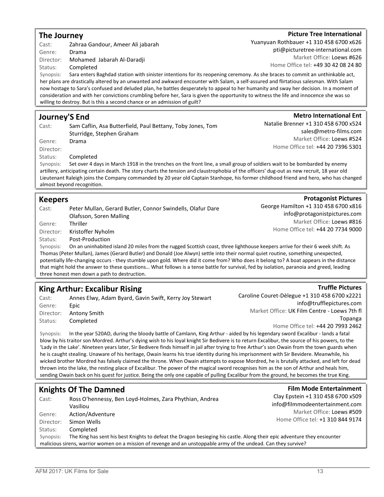| The Journey          |                                                                                                                                                                                                                                                                                    | <b>Picture Tree International</b>             |
|----------------------|------------------------------------------------------------------------------------------------------------------------------------------------------------------------------------------------------------------------------------------------------------------------------------|-----------------------------------------------|
| Cast:                | Zahraa Gandour, Ameer Ali jabarah                                                                                                                                                                                                                                                  | Yuanyuan Rothbauer +1 310 458 6700 x626       |
| Genre:               | Drama                                                                                                                                                                                                                                                                              | pti@picturetree-international.com             |
|                      |                                                                                                                                                                                                                                                                                    | Market Office: Loews #626                     |
| Director:            | Mohamed Jabarah Al-Daradji                                                                                                                                                                                                                                                         | Home Office tel: +49 30 42 08 24 80           |
| Status:<br>Synopsis: | Completed                                                                                                                                                                                                                                                                          |                                               |
|                      | Sara enters Baghdad station with sinister intentions for its reopening ceremony. As she braces to commit an unthinkable act,<br>her plans are drastically altered by an unwanted and awkward encounter with Salam, a self-assured and flirtatious salesman. With Salam             |                                               |
|                      | now hostage to Sara's confused and deluded plan, he battles desperately to appeal to her humanity and sway her decision. In a moment of                                                                                                                                            |                                               |
|                      | consideration and with her convictions crumbling before her, Sara is given the opportunity to witness the life and innocence she was so                                                                                                                                            |                                               |
|                      | willing to destroy. But is this a second chance or an admission of guilt?                                                                                                                                                                                                          |                                               |
|                      |                                                                                                                                                                                                                                                                                    |                                               |
|                      | <b>Journey'S End</b>                                                                                                                                                                                                                                                               | <b>Metro International Ent</b>                |
| Cast:                | Sam Caflin, Asa Butterfield, Paul Bettany, Toby Jones, Tom                                                                                                                                                                                                                         | Natalie Brenner +1 310 458 6700 x524          |
|                      | Sturridge, Stephen Graham                                                                                                                                                                                                                                                          | sales@metro-films.com                         |
| Genre:               | Drama                                                                                                                                                                                                                                                                              | Market Office: Loews #524                     |
| Director:            |                                                                                                                                                                                                                                                                                    | Home Office tel: +44 20 7396 5301             |
| Status:              | Completed                                                                                                                                                                                                                                                                          |                                               |
| Synopsis:            | Set over 4 days in March 1918 in the trenches on the front line, a small group of soldiers wait to be bombarded by enemy                                                                                                                                                           |                                               |
|                      | artillery, anticipating certain death. The story charts the tension and claustrophobia of the officers' dug-out as new recruit, 18 year old                                                                                                                                        |                                               |
|                      | Lieutenant Raleigh joins the Company commanded by 20 year old Captain Stanhope, his former childhood friend and hero, who has changed                                                                                                                                              |                                               |
|                      | almost beyond recognition.                                                                                                                                                                                                                                                         |                                               |
|                      |                                                                                                                                                                                                                                                                                    |                                               |
| <b>Keepers</b>       |                                                                                                                                                                                                                                                                                    | <b>Protagonist Pictures</b>                   |
| Cast:                | Peter Mullan, Gerard Butler, Connor Swindells, Olafur Dare                                                                                                                                                                                                                         | George Hamilton +1 310 458 6700 x816          |
|                      | Olafsson, Soren Malling                                                                                                                                                                                                                                                            | info@protagonistpictures.com                  |
| Genre:               | Thriller                                                                                                                                                                                                                                                                           | Market Office: Loews #816                     |
| Director:            | Kristoffer Nyholm                                                                                                                                                                                                                                                                  | Home Office tel: +44 20 7734 9000             |
| Status:              | Post-Production                                                                                                                                                                                                                                                                    |                                               |
| Synopsis:            | On an uninhabited island 20 miles from the rugged Scottish coast, three lighthouse keepers arrive for their 6 week shift. As                                                                                                                                                       |                                               |
|                      | Thomas (Peter Mullan), James (Gerard Butler) and Donald (Joe Alwyn) settle into their normal quiet routine, something unexpected,                                                                                                                                                  |                                               |
|                      | potentially life-changing occurs - they stumble upon gold. Where did it come from? Who does it belong to? A boat appears in the distance                                                                                                                                           |                                               |
|                      | that might hold the answer to these questions What follows is a tense battle for survival, fed by isolation, paranoia and greed, leading<br>three honest men down a path to destruction.                                                                                           |                                               |
|                      |                                                                                                                                                                                                                                                                                    |                                               |
|                      | <b>King Arthur: Excalibur Rising</b>                                                                                                                                                                                                                                               | <b>Truffle Pictures</b>                       |
| Cast:                | Annes Elwy, Adam Byard, Gavin Swift, Kerry Joy Stewart                                                                                                                                                                                                                             | Caroline Couret-Dèlegue +1 310 458 6700 x2221 |
| Genre:               | Epic                                                                                                                                                                                                                                                                               | info@trufflepictures.com                      |
| Director:            | Antony Smith                                                                                                                                                                                                                                                                       | Market Office: UK Film Centre - Loews 7th fl  |
| Status:              | Completed                                                                                                                                                                                                                                                                          | Topanga                                       |
|                      |                                                                                                                                                                                                                                                                                    | Home Office tel: +44 20 7993 2462             |
| Synopsis:            | In the year 520AD, during the bloody battle of Camlann, King Arthur - aided by his legendary sword Excalibur - lands a fatal                                                                                                                                                       |                                               |
|                      | blow by his traitor son Mordred. Arthur's dying wish to his loyal knight Sir Bedivere is to return Excalibur, the source of his powers, to the                                                                                                                                     |                                               |
|                      | 'Lady in the Lake'. Nineteen years later, Sir Bedivere finds himself in jail after trying to free Arthur's son Owain from the town guards when                                                                                                                                     |                                               |
|                      | he is caught stealing. Unaware of his heritage, Owain learns his true identity during his imprisonment with Sir Bevidere. Meanwhile, his                                                                                                                                           |                                               |
|                      | wicked brother Mordred has falsely claimed the throne. When Owain attempts to expose Mordred, he is brutally attacked, and left for dead                                                                                                                                           |                                               |
|                      | thrown into the lake, the resting place of Excalibur. The power of the magical sword recognises him as the son of Arthur and heals him,<br>sending Owain back on his quest for justice. Being the only one capable of pulling Excalibur from the ground, he becomes the true King. |                                               |
|                      |                                                                                                                                                                                                                                                                                    |                                               |
|                      | <b>Knights Of The Damned</b>                                                                                                                                                                                                                                                       | <b>Film Mode Entertainment</b>                |
|                      |                                                                                                                                                                                                                                                                                    | Clay Epstein +1 310 458 6700 x509             |
| Cast:                | Ross O'hennessy, Ben Loyd-Holmes, Zara Phythian, Andrea                                                                                                                                                                                                                            | info@filmmodeentertainment.com                |
|                      | Vasiliou                                                                                                                                                                                                                                                                           | Market Office: Loews #509                     |
| Genre:               | Action/Adventure                                                                                                                                                                                                                                                                   | Home Office tel: +1 310 844 9174              |
| Director:            | Simon Wells                                                                                                                                                                                                                                                                        |                                               |
| Status:              | Completed                                                                                                                                                                                                                                                                          |                                               |
| Synopsis:            | The King has sent his best Knights to defeat the Dragon besieging his castle. Along their epic adventure they encounter                                                                                                                                                            |                                               |

malicious sirens, warrior women on a mission of revenge and an unstoppable army of the undead. Can they survive?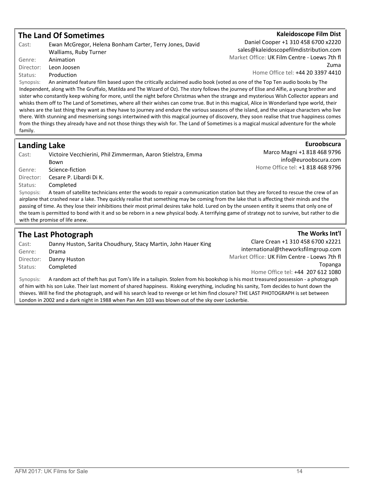### The Land Of Sometimes

| Cast: | Ewan McGregor, Helena Bonham Carter, Terry Jones, David                      |
|-------|------------------------------------------------------------------------------|
|       | Walliams, Ruby Turner                                                        |
|       | Genre: <b>Animation</b>                                                      |
|       | Director: Leon Joosen                                                        |
|       | Status: Production                                                           |
|       | Synopsis: An animated feature film based upon the critically acclaimed audio |

### Kaleidoscope Film Dist

Daniel Cooper +1 310 458 6700 x2220 sales@kaleidoscopefilmdistribution.com Market Office: UK Film Centre - Loews 7th fl Zuma Home Office tel: +44 20 3397 4410

book (voted as one of the Top Ten audio books by The Independent, along with The Gruffalo, Matilda and The Wizard of Oz). The story follows the journey of Elise and Alfie, a young brother and sister who constantly keep wishing for more, until the night before Christmas when the strange and mysterious Wish Collector appears and whisks them off to The Land of Sometimes, where all their wishes can come true. But in this magical, Alice in Wonderland type world, their wishes are the last thing they want as they have to journey and endure the various seasons of the island, and the unique characters who live there. With stunning and mesmerising songs intertwined with this magical journey of discovery, they soon realise that true happiness comes from the things they already have and not those things they wish for. The Land of Sometimes is a magical musical adventure for the whole family.

### Landing Lake

Cast: Victoire Vecchierini, Phil Zimmerman, Aaron Stielstra, Emma Bown Genre: Science-fiction Director: Cesare P. Libardi Di K. Status: Completed Synopsis: A team of satellite technicians enter the woods to repair a communication station but they are forced to rescue the crew of an airplane that crashed near a lake. They quickly realise that something may be coming from the lake that is affecting their minds and the passing of time. As they lose their inhibitions their most primal desires take hold. Lured on by the unseen entity it seems that only one of the team is permitted to bond with it and so be reborn in a new physical body. A terrifying game of strategy not to survive, but rather to die

### The Last Photograph

with the promise of life anew.

Cast: Danny Huston, Sarita Choudhury, Stacy Martin, John Hauer King Genre: Drama Director: Danny Huston Status: Completed Clare Crean +1 310 458 6700 x2221 international@theworksfilmgroup.com Market Office: UK Film Centre - Loews 7th fl Topanga Home Office tel: +44 207 612 1080

Synopsis: A random act of theft has put Tom's life in a tailspin. Stolen from his bookshop is his most treasured possession - a photograph of him with his son Luke. Their last moment of shared happiness. Risking everything, including his sanity, Tom decides to hunt down the thieves. Will he find the photograph, and will his search lead to revenge or let him find closure? THE LAST PHOTOGRAPH is set between London in 2002 and a dark night in 1988 when Pan Am 103 was blown out of the sky over Lockerbie.

Euroobscura Marco Magni +1 818 468 9796 info@euroobscura.com Home Office tel: +1 818 468 9796

The Works Int'l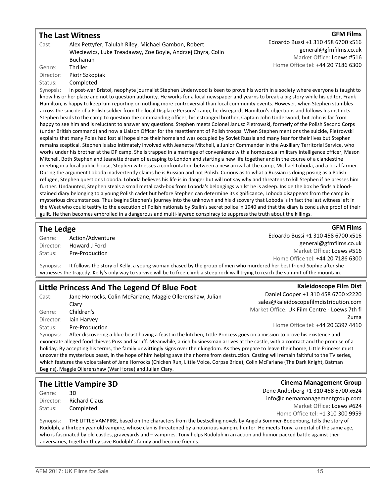### The Last Witness

#### **GFM Films**

Cast: Alex Pettyfer, Talulah Riley, Michael Gambon, Robert Wieciewicz, Luke Treadaway, Zoe Boyle, Andrzej Chyra, Colin Buchanan Genre: Thriller Director: Piotr Szkopiak Status: Completed Edoardo Bussi +1 310 458 6700 x516 general@gfmfilms.co.uk Market Office: Loews #516 Home Office tel: +44 20 7186 6300 Synopsis: In post-war Bristol, neophyte journalist Stephen Underwood is keen to prove his worth in a society where everyone is taught to know his or her place and not to question authority. He works for a local newspaper and yearns to break a big story while his editor, Frank Hamilton, is happy to keep kim reporting on nothing more controversial than local community events. However, when Stephen stumbles across the suicide of a Polish soldier from the local Displace Persons' camp, he disregards Hamilton's objections and follows his instincts. Stephen heads to the camp to question the commanding officer, his estranged brother, Captain John Underwood, but John is far from happy to see him and is reluctant to answer any questions. Stephen meets Colonel Janusz Pietrowski, formerly of the Polish Second Corps (under British command) and now a Liaison Officer for the resettlement of Polish troops. When Stephen mentions the suicide, Pietrowski explains that many Poles had lost all hope since their homeland was occupied by Soviet Russia and many fear for their lives but Stephen remains sceptical. Stephen is also intimately involved with Jeanette Mitchell, a Junior Commander in the Auxiliary Territorial Service, who works under his brother at the DP camp. She is trapped in a marriage of convenience with a homosexual military intelligence officer, Mason Mitchell. Both Stephen and Jeanette dream of escaping to London and starting a new life together and in the course of a clandestine

meeting in a local public house, Stephen witnesses a confrontation between a new arrival at the camp, Michael Loboda, and a local farmer. During the argument Loboda inadvertently claims he is Russian and not Polish. Curious as to what a Russian is doing posing as a Polish refugee, Stephen questions Loboda. Loboda believes his life is in danger but will not say why and threatens to kill Stephen if he presses him further. Undaunted, Stephen steals a small metal cash-box from Loboda's belongings whilst he is asleep. Inside the box he finds a bloodstained diary belonging to a young Polish cadet but before Stephen can determine its significance, Loboda disappears from the camp in mysterious circumstances. Thus begins Stephen's journey into the unknown and his discovery that Loboda is in fact the last witness left in the West who could testify to the execution of Polish nationals by Stalin's secret police in 1940 and that the diary is conclusive proof of their guilt. He then becomes embroiled in a dangerous and multi-layered conspiracy to suppress the truth about the killings.

### The Ledge

Genre: Action/Adventure Director: Howard J Ford Status: Pre-Production

**GFM Films** Edoardo Bussi +1 310 458 6700 x516 general@gfmfilms.co.uk Market Office: Loews #516 Home Office tel: +44 20 7186 6300

Synopsis: It follows the story of Kelly, a young woman chased by the group of men who murdered her best friend Sophie after she witnesses the tragedy. Kelly's only way to survive will be to free-climb a steep rock wall trying to reach the summit of the mountain.

### Little Princess And The Legend Of Blue Foot

Cast: Jane Horrocks, Colin McFarlane, Maggie Ollerenshaw, Julian Clary Genre: Children's Director: Iain Harvey Status: Pre-Production

#### Kaleidoscope Film Dist

Daniel Cooper +1 310 458 6700 x2220 sales@kaleidoscopefilmdistribution.com Market Office: UK Film Centre - Loews 7th fl Zuma Home Office tel: +44 20 3397 4410

Synopsis: After discovering a blue beast having a feast in the kitchen, Little Princess goes on a mission to prove his existence and exonerate alleged food thieves Puss and Scruff. Meanwhile, a rich businessman arrives at the castle, with a contract and the promise of a holiday. By accepting his terms, the family unwittingly signs over their kingdom. As they prepare to leave their home, Little Princess must uncover the mysterious beast, in the hope of him helping save their home from destruction. Casting will remain faithful to the TV series, which features the voice talent of Jane Horrocks (Chicken Run, Little Voice, Corpse Bride), Colin McFarlane (The Dark Knight, Batman Begins), Maggie Ollerenshaw (War Horse) and Julian Clary.

## The Little Vampire 3D

Genre: 3D Director: Richard Claus Status: Completed

Cinema Management Group Dene Anderberg +1 310 458 6700 x624 info@cinemamanagementgroup.com Market Office: Loews #624 Home Office tel: +1 310 300 9959

Synopsis: THE LITTLE VAMPIRE, based on the characters from the bestselling novels by Angela Sommer-Bodenburg, tells the story of Rudolph, a thirteen year old vampire, whose clan is threatened by a notorious vampire hunter. He meets Tony, a mortal of the same age, who is fascinated by old castles, graveyards and – vampires. Tony helps Rudolph in an action and humor packed battle against their adversaries, together they save Rudolph's family and become friends.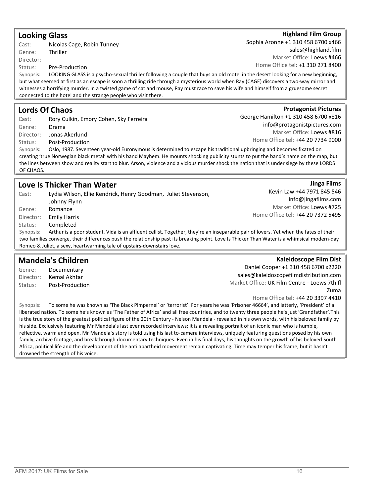AFM 2017: UK Films for Sale 16

### Looking Glass

Cast: Nicolas Cage, Robin Tunney Genre: Thriller Director:

Status: Pre-Production

Synopsis: LOOKING GLASS is a psycho-sexual thriller following a couple that buys an old motel in the desert looking for a new beginning, but what seemed at first as an escape is soon a thrilling ride through a mysterious world when Ray (CAGE) discovers a two-way mirror and witnesses a horrifying murder. In a twisted game of cat and mouse, Ray must race to save his wife and himself from a gruesome secret connected to the hotel and the strange people who visit there.

### Lords Of Chaos

Cast: Rory Culkin, Emory Cohen, Sky Ferreira Genre: Drama Director: Jonas Akerlund Status: Post-Production

#### Synopsis: Oslo, 1987. Seventeen year-old Euronymous is determined to escape his traditional upbringing and becomes fixated on creating 'true Norwegian black metal' with his band Mayhem. He mounts shocking publicity stunts to put the band's name on the map, but the lines between show and reality start to blur. Arson, violence and a vicious murder shock the nation that is under siege by these LORDS OF CHAOS.

### Love Is Thicker Than Water

Cast: Lydia Wilson, Ellie Kendrick, Henry Goodman, Juliet Stevenson, Johnny Flynn Genre: Romance Director: Emily Harris Status: Completed Kevin Law +44 7971 845 546 info@jingafilms.com Market Office: Loews #725 Home Office tel: +44 20 7372 5495 Synopsis: Arthur is a poor student. Vida is an affluent cellist. Together, they're an inseparable pair of lovers. Yet when the fates of their two families converge, their differences push the relationship past its breaking point. Love Is Thicker Than Water is a whimsical modern-day Romeo & Juliet, a sexy, heartwarming tale of upstairs-downstairs love.

#### Mandela's Children Genre: Documentary Director: Kemal Akhtar Status: Post-Production Kaleidoscope Film Dist Daniel Cooper +1 310 458 6700 x2220 sales@kaleidoscopefilmdistribution.com Market Office: UK Film Centre - Loews 7th fl

Home Office tel: +44 20 3397 4410 Synopsis: To some he was known as 'The Black Pimpernel' or 'terrorist'. For years he was 'Prisoner 46664', and latterly, 'President' of a liberated nation. To some he's known as 'The Father of Africa' and all free countries, and to twenty three people he's just 'Grandfather'.This is the true story of the greatest political figure of the 20th Century - Nelson Mandela - revealed in his own words, with his beloved family by his side. Exclusively featuring Mr Mandela's last ever recorded interviews; it is a revealing portrait of an iconic man who is humble, reflective, warm and open. Mr Mandela's story is told using his last to-camera interviews, uniquely featuring questions posed by his own family, archive footage, and breakthrough documentary techniques. Even in his final days, his thoughts on the growth of his beloved South Africa, political life and the development of the anti apartheid movement remain captivating. Time may temper his frame, but it hasn't drowned the strength of his voice.

Jinga Films

Zuma

### **Protagonist Pictures** George Hamilton +1 310 458 6700 x816

info@protagonistpictures.com Market Office: Loews #816 Home Office tel: +44 20 7734 9000

Sophia Aronne +1 310 458 6700 x466 sales@highland.film Market Office: Loews #466 Home Office tel: +1 310 271 8400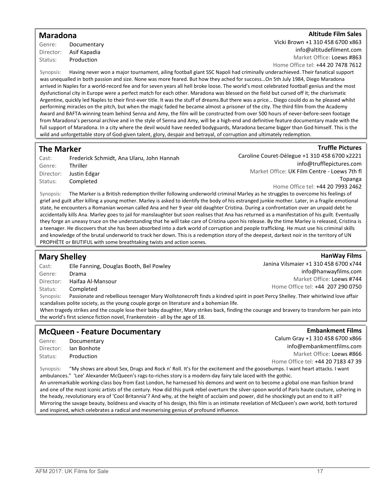### Maradona

Genre: Documentary Director: Asif Kapadia Status: Production

#### TAltitude Film Sales

Vicki Brown +1 310 458 6700 x863 info@altitudefilment.com Market Office: Loews #863

Home Office tel: +44 20 7478 7612

Synopsis: Having never won a major tournament, ailing football giant SSC Napoli had criminally underachieved. Their fanatical support was unequalled in both passion and size. None was more feared. But how they ached for success…On 5th July 1984, Diego Maradona arrived in Naples for a world-record fee and for seven years all hell broke loose. The world's most celebrated football genius and the most dysfunctional city in Europe were a perfect match for each other. Maradona was blessed on the field but cursed off it; the charismatic Argentine, quickly led Naples to their first-ever title. It was the stuff of dreams.But there was a price… Diego could do as he pleased whilst performing miracles on the pitch, but when the magic faded he became almost a prisoner of the city. The third film from the Academy Award and BAFTA-winning team behind Senna and Amy, the film will be constructed from over 500 hours of never-before-seen footage from Maradona's personal archive and in the style of Senna and Amy, will be a high-end and definitive feature documentary made with the full support of Maradona. In a city where the devil would have needed bodyguards, Maradona became bigger than God himself. This is the wild and unforgettable story of God-given talent, glory, despair and betrayal, of corruption and ultimately redemption.

### The Marker

| Cast:     | Frederick Schmidt, Ana Ularu, John Hannah |
|-----------|-------------------------------------------|
| Genre:    | <b>Thriller</b>                           |
| Director: | Justin Edgar                              |
| Status:   | Completed                                 |

Caroline Couret-Dèlegue +1 310 458 6700 x2221 info@trufflepictures.com Market Office: UK Film Centre - Loews 7th fl Topanga Home Office tel: +44 20 7993 2462

Synopsis: The Marker is a British redemption thriller following underworld criminal Marley as he struggles to overcome his feelings of grief and guilt after killing a young mother. Marley is asked to identify the body of his estranged junkie mother. Later, in a fragile emotional state, he encounters a Romanian woman called Ana and her 9 year old daughter Cristina. During a confrontation over an unpaid debt he accidentally kills Ana. Marley goes to jail for manslaughter but soon realises that Ana has returned as a manifestation of his guilt. Eventually they forge an uneasy truce on the understanding that he will take care of Cristina upon his release. By the time Marley is released, Cristina is a teenager. He discovers that she has been absorbed into a dark world of corruption and people trafficking. He must use his criminal skills and knowledge of the brutal underworld to track her down. This is a redemption story of the deepest, darkest noir in the territory of UN PROPHÈTE or BIUTIFUL with some breathtaking twists and action scenes.

### Mary Shelley

### HanWay Films

**Truffle Pictures** 

Cast: Elle Fanning, Douglas Booth, Bel Powley Genre: Drama Director: Haifaa Al-Mansour Status: Completed Janina Vilsmaier +1 310 458 6700 x744 info@hanwayfilms.com Market Office: Loews #744 Home Office tel: +44 207 290 0750

Synopsis: Passionate and rebellious teenager Mary Wollstonecroft finds a kindred spirit in poet Percy Shelley. Their whirlwind love affair scandalises polite society, as the young couple gorge on literature and a bohemian life.

When tragedy strikes and the couple lose their baby daughter, Mary strikes back, finding the courage and bravery to transform her pain into the world's first science fiction novel, Frankenstein - all by the age of 18.

### McQueen - Feature Documentary

Genre: Documentary Director: Ian Bonhote Status: Production

**Embankment Films** Calum Gray +1 310 458 6700 x866 info@embankmentfilms.com Market Office: Loews #866 Home Office tel: +44 20 7183 47 39

Synopsis: "My shows are about Sex, Drugs and Rock n' Roll. It's for the excitement and the goosebumps. I want heart attacks. I want ambulances." 'Lee' Alexander McQueen's rags-to-riches story is a modern-day fairy tale laced with the gothic. An unremarkable working-class boy from East London, he harnessed his demons and went on to become a global one man fashion brand and one of the most iconic artists of the century. How did this punk rebel overturn the silver-spoon world of Paris haute couture, ushering in the heady, revolutionary era of 'Cool Britannia'? And why, at the height of acclaim and power, did he shockingly put an end to it all? Mirroring the savage beauty, boldness and vivacity of his design, this film is an intimate revelation of McQueen's own world, both tortured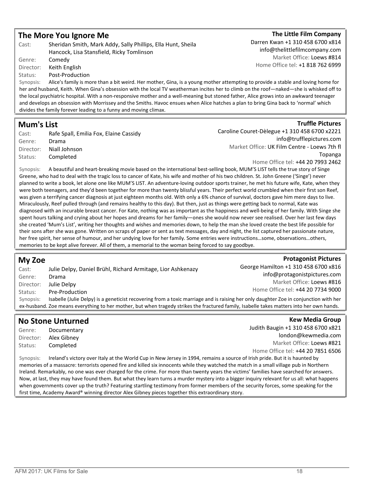### The More You Ignore Me

| Cast:     | Sheridan Smith, Mark Addy, Sally Phillips, Ella Hunt, Sheila               |  |
|-----------|----------------------------------------------------------------------------|--|
|           | Hancock, Lisa Stansfield, Ricky Tomlinson                                  |  |
| Genre:    | Comedy                                                                     |  |
| Director: | Keith English                                                              |  |
| Status:   | Post-Production                                                            |  |
| Synopsis: | Alice's family is more than a bit weird. Her mother, Gina, is a your       |  |
|           | her and husband, Keith. When Gina's obsession with the local TV weatherman |  |

### The Little Film Company

Darren Kwan +1 310 458 6700 x814 info@thelittlefilmcompany.com Market Office: Loews #814 Home Office tel: +1 818 762 6999

ng mother attempting to provide a stable and loving home for incites her to climb on the roof—naked—she is whisked off to the local psychiatric hospital. With a non-responsive mother and a well-meaning but stoned father, Alice grows into an awkward teenager and develops an obsession with Morrissey and the Smiths. Havoc ensues when Alice hatches a plan to bring Gina back to 'normal' which divides the family forever leading to a funny and moving climax.

### Mum's List

| Cast:     | Rafe Spall, Emilia Fox, Elaine Cassidy |
|-----------|----------------------------------------|
| Genre:    | Drama                                  |
| Director: | Niall Johnson                          |
| Status:   | Completed                              |

### **Truffle Pictures**

**Protagonist Pictures** 

Caroline Couret-Dèlegue +1 310 458 6700 x2221 info@trufflepictures.com Market Office: UK Film Centre - Loews 7th fl Topanga Home Office tel: +44 20 7993 2462

Synopsis: A beautiful and heart-breaking movie based on the international best-selling book, MUM'S LIST tells the true story of Singe Greene, who had to deal with the tragic loss to cancer of Kate, his wife and mother of his two children. St. John Greene ('Singe') never planned to write a book, let alone one like MUM'S LIST. An adventure-loving outdoor sports trainer, he met his future wife, Kate, when they were both teenagers, and they'd been together for more than twenty blissful years. Their perfect world crumbled when their first son Reef, was given a terrifying cancer diagnosis at just eighteen months old. With only a 6% chance of survival, doctors gave him mere days to live. Miraculously, Reef pulled through (and remains healthy to this day). But then, just as things were getting back to normal, Kate was diagnosed with an incurable breast cancer. For Kate, nothing was as important as the happiness and well-being of her family. With Singe she spent hours talking and crying about her hopes and dreams for her family—ones she would now never see realised. Over her last few days she created 'Mum's List', writing her thoughts and wishes and memories down, to help the man she loved create the best life possible for their sons after she was gone. Written on scraps of paper or sent as text messages, day and night, the list captured her passionate nature, her free spirit, her sense of humour, and her undying love for her family. Some entries were instructions…some, observations…others, memories to be kept alive forever. All of them, a memorial to the woman being forced to say goodbye.

### My Zoe

Cast: Julie Delpy, Daniel Brühl, Richard Armitage, Lior Ashkenazy Genre: Drama Director: Julie Delpy Status: Pre-Production George Hamilton +1 310 458 6700 x816 info@protagonistpictures.com Market Office: Loews #816 Home Office tel: +44 20 7734 9000 Synopsis: Isabelle (Julie Delpy) is a geneticist recovering from a toxic marriage and is raising her only daughter Zoe in conjunction with her ex-husband. Zoe means everything to her mother, but when tragedy strikes the fractured family, Isabelle takes matters into her own hands.

### No Stone Unturned

Genre: Documentary Director: Alex Gibney Status: Completed

**Kew Media Group** Judith Baugin +1 310 458 6700 x821 london@kewmedia.com Market Office: Loews #821 Home Office tel: +44 20 7851 6506

Synopsis: Ireland's victory over Italy at the World Cup in New Jersey in 1994, remains a source of Irish pride. But it is haunted by memories of a massacre: terrorists opened fire and killed six innocents while they watched the match in a small village pub in Northern Ireland. Remarkably, no one was ever charged for the crime. For more than twenty years the victims' families have searched for answers. Now, at last, they may have found them. But what they learn turns a murder mystery into a bigger inquiry relevant for us all: what happens when governments cover up the truth? Featuring startling testimony from former members of the security forces, some speaking for the first time, Academy Award® winning director Alex Gibney pieces together this extraordinary story.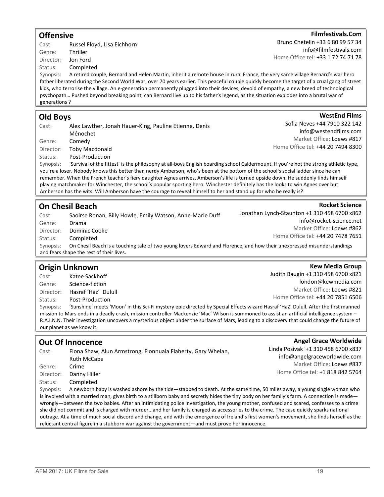### **Offensive**

Cast: Russel Floyd, Lisa Eichhorn Genre: Thriller Director: Jon Ford Status: Completed

Synopsis: A retired couple, Bernard and Helen Martin, inherit a remote house in rural France, the very same village Bernard's war hero father liberated during the Second World War, over 70 years earlier. This peaceful couple quickly become the target of a crual gang of street kids, who terrorise the village. An e-generation permanently plugged into their devices, devoid of empathy, a new breed of technological psychopath… Pushed beyond breaking point, can Bernard live up to his father's legend, as the situation explodes into a brutal war of generations ?

### Old Boys

| Cast:   | Alex Lawther, Jonah Hauer-King, Pauline Etienne, Denis |  |
|---------|--------------------------------------------------------|--|
|         | Ménochet                                               |  |
| Genre:  | Comedy                                                 |  |
|         | Director: Toby Macdonald                               |  |
| Status: | Post-Production                                        |  |
|         |                                                        |  |

Synopsis: 'Survival of the fittest' is the philosophy at all-boys English boarding school Caldermount. If you're not the strong athletic type, you're a loser. Nobody knows this better than nerdy Amberson, who's been at the bottom of the school's social ladder since he can remember. When the French teacher's fiery daughter Agnes arrives, Amberson's life is turned upside down. He suddenly finds himself playing matchmaker for Winchester, the school's popular sporting hero. Winchester definitely has the looks to win Agnes over but Amberson has the wits. Will Amberson have the courage to reveal himself to her and stand up for who he really is?

## On Chesil Beach

Cast: Saoirse Ronan, Billy Howle, Emily Watson, Anne-Marie Duff Genre: Drama Director: Dominic Cooke Status: Completed Jonathan Lynch-Staunton +1 310 458 6700 x862 info@rocket-science.net Market Office: Loews #862 Home Office tel: +44 20 7478 7651 Synopsis: On Chesil Beach is a touching tale of two young lovers Edward and Florence, and how their unexpressed misunderstandings and fears shape the rest of their lives.

## Origin Unknown

Cast: Katee Sackhoff Genre: Science-fiction Director: Hasraf 'Haz' Dulull Status: Post-Production Synopsis: 'Sunshine' meets 'Moon' in this Sci-Fi mystery epic directed by Special Effects wizard Hasraf 'HaZ' Dulull. After the first manned mission to Mars ends in a deadly crash, mission controller Mackenzie 'Mac' Wilson is summoned to assist an artificial intelligence system – R.A.I.N.N. Their investigation uncovers a mysterious object under the surface of Mars, leading to a discovery that could change the future of our planet as we know it.

## Out Of Innocence

Cast: Fiona Shaw, Alun Armstrong, Fionnuala Flaherty, Gary Whelan, Ruth McCabe Genre: Crime Director: Danny Hiller

Status: Completed

Synopsis: A newborn baby is washed ashore by the tide—stabbed to death. At the same time, 50 miles away, a young single woman who is involved with a married man, gives birth to a stillborn baby and secretly hides the tiny body on her family's farm. A connection is madewrongly—between the two babies. After an intimidating police investigation, the young mother, confused and scared, confesses to a crime she did not commit and is charged with murder...and her family is charged as accessories to the crime. The case quickly sparks national outrage. At a time of much social discord and change, and with the emergence of Ireland's first women's movement, she finds herself as the reluctant central figure in a stubborn war against the government—and must prove her innocence.

Bruno Chetelin +33 6 80 99 57 34

Home Office tel: +33 1 72 74 71 78

### WestEnd Films Sofia Neves +44 7910 322 142 info@westendfilms.com

Market Office: Loews #817 Home Office tel: +44 20 7494 8300

### **Kew Media Group**

**Rocket Science** 

Judith Baugin +1 310 458 6700 x821 london@kewmedia.com Market Office: Loews #821 Home Office tel: +44 20 7851 6506

### **Angel Grace Worldwide**

Linda Posivak '+1 310 458 6700 x837 info@angelgraceworldwide.com Market Office: Loews #837 Home Office tel: +1 818 842 5764

#### Filmfestivals.Com

info@filmfestivals.com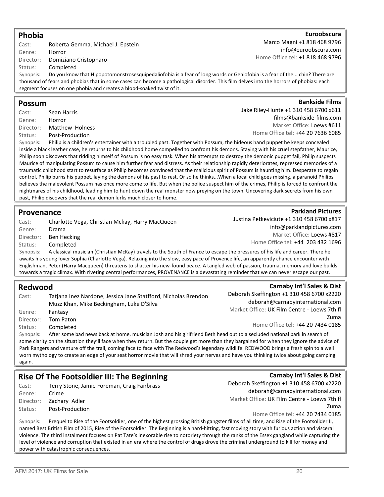### Phobia

Cast: Roberta Gemma, Michael J. Epstein Genre: Horror Director: Domiziano Cristopharo Status: Completed

#### **Euroobscura** Marco Magni +1 818 468 9796 info@euroobscura.com Home Office tel: +1 818 468 9796

Jake Riley-Hunte +1 310 458 6700 x611

Synopsis: Do you know that Hipopotomonstrosesquipedaliofobia is a fear of long words or Geniofobia is a fear of the... chin? There are thousand of fears and phobias that in some cases can become a pathological disorder. This film delves into the horrors of phobias: each segment focuses on one phobia and creates a blood-soaked twist of it.

### Possum

Cast: Sean Harris Genre: Horror Director: Matthew Holness Status: Post-Production

Synopsis: Philip is a children's entertainer with a troubled past. Together with Possum, the hideous hand puppet he keeps concealed inside a black leather case, he returns to his childhood home compelled to confront his demons. Staying with his cruel stepfather, Maurice, Philip soon discovers that ridding himself of Possum is no easy task. When his attempts to destroy the demonic puppet fail, Philip suspects Maurice of manipulating Possum to cause him further fear and distress. As their relationship rapidly deteriorates, repressed memories of a traumatic childhood start to resurface as Philip becomes convinced that the malicious spirit of Possum is haunting him. Desperate to regain control, Philip burns his puppet, laying the demons of his past to rest. Or so he thinks...When a local child goes missing, a paranoid Philips believes the malevolent Possum has once more come to life. But when the police suspect him of the crimes, Philip is forced to confront the nightmares of his childhood, leading him to hunt down the real monster now preying on the town. Uncovering dark secrets from his own past, Philip discovers that the real demon lurks much closer to home.

### Provenance

| Cast:                 | Charlotte Vega, Christian Mckay, Harry MacQueen                |
|-----------------------|----------------------------------------------------------------|
| Genre:                | Drama                                                          |
|                       | Director: Ben Hecking                                          |
| Status:               | Completed                                                      |
| Synonsis <sup>.</sup> | A classical musician (Christian McKay) travels to the South of |

sical musician (Christian McKay) travels to the South of France to escape the pressures of his life and career. There he awaits his young lover Sophia (Charlotte Vega). Relaxing into the slow, easy pace of Provence life, an apparently chance encounter with Englishman, Peter (Harry Macqueen) threatens to shatter his new-found peace. A tangled web of passion, trauma, memory and love builds towards a tragic climax. With riveting central performances, PROVENANCE is a devastating reminder that we can never escape our past.

### Redwood

| Cast:     | Tatjana Inez Nardone, Jessica Jane Statfford, Nicholas Brendon                                                                              | Deborah Skeffington +1 310 458 6700 x2220    |
|-----------|---------------------------------------------------------------------------------------------------------------------------------------------|----------------------------------------------|
|           | Muzz Khan, Mike Beckingham, Luke D'Silva                                                                                                    | deborah@carnabyinternational.com             |
| Genre:    | Fantasy                                                                                                                                     | Market Office: UK Film Centre - Loews 7th fl |
| Director: | Tom Paton                                                                                                                                   | Zuma                                         |
| Status:   | Completed                                                                                                                                   | Home Office tel: +44 20 7434 0185            |
| Synopsis: | After some bad news back at home, musician Josh and his girlfriend Beth head out to a secluded national park in search of                   |                                              |
|           | some clarity on the situation they'll face when they return. But the couple get more than they bargained for when they ignore the advice of |                                              |
|           |                                                                                                                                             |                                              |

Park Rangers and venture off the trail, coming face to face with The Redwood's legendary wildlife. REDWOOD brings a fresh spin to a well worn mythology to create an edge of your seat horror movie that will shred your nerves and have you thinking twice about going camping again.

## Rise Of The Footsoldier III: The Beginning

Cast: Terry Stone, Jamie Foreman, Craig Fairbrass Genre: Crime Director: Zachary Adler Status: Post-Production

Carnaby Int'l Sales & Dist Deborah Skeffington +1 310 458 6700 x2220 deborah@carnabyinternational.com Market Office: UK Film Centre - Loews 7th fl Zuma Home Office tel: +44 20 7434 0185

Synopsis: Prequel to Rise of the Footsoldier, one of the highest grossing British gangster films of all time, and Rise of the Footsolider II, named Best British Film of 2015, Rise of the Footsoldier: The Beginning is a hard-hitting, fast moving story with furious action and visceral violence. The third instalment focuses on Pat Tate's inexorable rise to notoriety through the ranks of the Essex gangland while capturing the level of violence and corruption that existed in an era where the control of drugs drove the criminal underground to kill for money and power with catastrophic consequences.

**Bankside Films** 

films@bankside-films.com Market Office: Loews #611 Home Office tel: +44 20 7636 6085

Justina Petkeviciute +1 310 458 6700 x817 Market Office: Loews #817 Home Office tel: +44 203 432 1696

**Parkland Pictures** info@parklandpictures.com

Carnaby Int'l Sales & Dist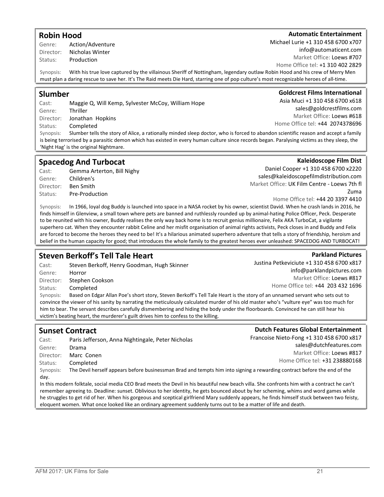### Robin Hood

#### Genre: Action/Adventure Director: Nicholas Winter Status: Production

Cast: Paris Jefferson, Anna Nightingale, Peter Nicholas Genre: Drama Director: Marc Conen Status: Completed Synopsis: The Devil herself appears before businessman Brad and tempts him into signing a rewarding contract before the end of the day.

victim's beating heart, the murderer's guilt drives him to confess to the killing.

In this modern folktale, social media CEO Brad meets the Devil in his beautiful new beach villa. She confronts him with a contract he can't remember agreeing to. Deadline: sunset. Oblivious to her identity, he gets bounced about by her scheming, whims and word games while he struggles to get rid of her. When his gorgeous and sceptical girlfriend Mary suddenly appears, he finds himself stuck between two feisty, eloquent women. What once looked like an ordinary agreement suddenly turns out to be a matter of life and death.

Synopsis: With his true love captured by the villainous Sheriff of Nottingham, legendary outlaw Robin Hood and his crew of Merry Men must plan a daring rescue to save her. It's The Raid meets Die Hard, starring one of pop culture's most recognizable heroes of all-time.

### Slumber

Cast: Maggie Q, Will Kemp, Sylvester McCoy, William Hope Genre: Thriller Director: Jonathan Hopkins Status: Completed Synopsis: Slumber tells the story of Alice, a rationally minded sleep doctor, who is forced to abandon scientific reason and accept a family is being terrorised by a parasitic demon which has existed in every human culture since records began. Paralysing victims as they sleep, the

### Spacedog And Turbocat

'Night Hag' is the original Nightmare.

Cast: Gemma Arterton, Bill Nighy Genre: Children's Director: Ben Smith Status: Pre-Production

Daniel Cooper +1 310 458 6700 x2220 sales@kaleidoscopefilmdistribution.com Market Office: UK Film Centre - Loews 7th fl Zuma

Home Office tel: +44 20 3397 4410

**Parkland Pictures** 

Synopsis: In 1966, loyal dog Buddy is launched into space in a NASA rocket by his owner, scientist David. When he crash lands in 2016, he finds himself in Glenview, a small town where pets are banned and ruthlessly rounded up by animal-hating Police Officer, Peck. Desperate to be reunited with his owner, Buddy realises the only way back home is to recruit genius millionaire, Felix AKA TurboCat, a vigilante superhero cat. When they encounter rabbit Celine and her misfit organisation of animal rights activists, Peck closes in and Buddy and Felix are forced to become the heroes they need to be! It's a hilarious animated superhero adventure that tells a story of friendship, heroism and belief in the human capacity for good; that introduces the whole family to the greatest heroes ever unleashed: SPACEDOG AND TURBOCAT!

convince the viewer of his sanity by narrating the meticulously calculated murder of his old master who's "vulture eye" was too much for him to bear. The servant describes carefully dismembering and hiding the body under the floorboards. Convinced he can still hear his

### Steven Berkoff's Tell Tale Heart

Cast: Steven Berkoff, Henry Goodman, Hugh Skinner Genre: Horror Director: Stephen Cookson Status: Completed Synopsis: Based on Edgar Allan Poe's short story, Steven Berkoff's Tell Tale Heart is the story of an unnamed servant who sets out to

Justina Petkeviciute +1 310 458 6700 x817 info@parklandpictures.com Market Office: Loews #817 Home Office tel: +44 203 432 1696

Dutch Features Global Entertainment Francoise Nieto-Fong +1 310 458 6700 x817

> sales@dutchfeatures.com Market Office: Loews #817 Home Office tel: +31 238880168

Kaleidoscope Film Dist

Goldcrest Films International

Asia Muci +1 310 458 6700 x618 sales@goldcrestfilms.com Market Office: Loews #618 Home Office tel: +44 2074378696

**Automatic Entertainment** 

AFM 2017: UK Films for Sale 21

Sunset Contract

### Michael Lurie +1 310 458 6700 x707 info@automaticent.com

Market Office: Loews #707 Home Office tel: +1 310 402 2829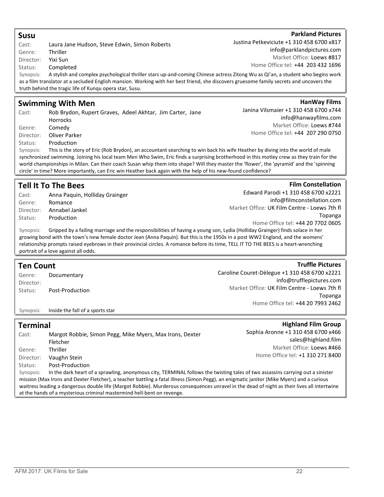| <b>Susu</b>      |                                                                                                                                                                                                                       | <b>Parkland Pictures</b>                      |
|------------------|-----------------------------------------------------------------------------------------------------------------------------------------------------------------------------------------------------------------------|-----------------------------------------------|
| Cast:            | Laura Jane Hudson, Steve Edwin, Simon Roberts                                                                                                                                                                         | Justina Petkeviciute +1 310 458 6700 x817     |
| Genre:           | Thriller                                                                                                                                                                                                              | info@parklandpictures.com                     |
| Director:        | Yixi Sun                                                                                                                                                                                                              | Market Office: Loews #817                     |
| Status:          | Completed                                                                                                                                                                                                             | Home Office tel: +44 203 432 1696             |
| Synopsis:        | A stylish and complex psychological thriller stars up-and-coming Chinese actress Zitong Wu as Qi'an, a student who begins work                                                                                        |                                               |
|                  | as a film translator at a secluded English mansion. Working with her best friend, she discovers gruesome family secrets and uncovers the                                                                              |                                               |
|                  | truth behind the tragic life of Kunqu opera star, Susu.                                                                                                                                                               |                                               |
|                  | <b>Swimming With Men</b>                                                                                                                                                                                              | <b>HanWay Films</b>                           |
| Cast:            | Rob Brydon, Rupert Graves, Adeel Akhtar, Jim Carter, Jane                                                                                                                                                             | Janina Vilsmaier +1 310 458 6700 x744         |
|                  | Horrocks                                                                                                                                                                                                              | info@hanwayfilms.com                          |
| Genre:           | Comedy                                                                                                                                                                                                                | Market Office: Loews #744                     |
| Director:        | Oliver Parker                                                                                                                                                                                                         | Home Office tel: +44 207 290 0750             |
| Status:          | Production                                                                                                                                                                                                            |                                               |
| Synopsis:        | This is the story of Eric (Rob Brydon), an accountant searching to win back his wife Heather by diving into the world of male                                                                                         |                                               |
|                  | synchronized swimming. Joining his local team Men Who Swim, Eric finds a surprising brotherhood in this motley crew as they train for the                                                                             |                                               |
|                  | world championships in Milan. Can their coach Susan whip them into shape? Will they master the 'flower', the 'pyramid' and the 'spinning                                                                              |                                               |
|                  | circle' in time? More importantly, can Eric win Heather back again with the help of his new-found confidence?                                                                                                         |                                               |
|                  |                                                                                                                                                                                                                       |                                               |
|                  | <b>Tell It To The Bees</b>                                                                                                                                                                                            | <b>Film Constellation</b>                     |
| Cast:            | Anna Paquin, Holliday Grainger                                                                                                                                                                                        | Edward Parodi +1 310 458 6700 x2221           |
| Genre:           | Romance                                                                                                                                                                                                               | info@filmconstellation.com                    |
| Director:        | Annabel Jankel                                                                                                                                                                                                        | Market Office: UK Film Centre - Loews 7th fl  |
| Status:          | Production                                                                                                                                                                                                            | Topanga                                       |
|                  |                                                                                                                                                                                                                       | Home Office tel: +44 20 7702 0605             |
| Synopsis:        | Gripped by a failing marriage and the responsibilities of having a young son, Lydia (Holliday Grainger) finds solace in her                                                                                           |                                               |
|                  | growing bond with the town's new female doctor Jean (Anna Paquin). But this is the 1950s in a post WW2 England, and the womens'                                                                                       |                                               |
|                  | relationship prompts raised eyebrows in their provincial circles. A romance before its time, TELL IT TO THE BEES is a heart-wrenching<br>portrait of a love against all odds.                                         |                                               |
|                  |                                                                                                                                                                                                                       |                                               |
| <b>Ten Count</b> |                                                                                                                                                                                                                       | <b>Truffle Pictures</b>                       |
| Genre:           | Documentary                                                                                                                                                                                                           | Caroline Couret-Dèlegue +1 310 458 6700 x2221 |
| Director:        |                                                                                                                                                                                                                       | info@trufflepictures.com                      |
| Status:          | Post-Production                                                                                                                                                                                                       | Market Office: UK Film Centre - Loews 7th fl  |
|                  |                                                                                                                                                                                                                       | Topanga                                       |
|                  |                                                                                                                                                                                                                       | Home Office tel: +44 20 7993 2462             |
| Synopsis:        | Inside the fall of a sports star                                                                                                                                                                                      |                                               |
| <b>Terminal</b>  |                                                                                                                                                                                                                       | <b>Highland Film Group</b>                    |
|                  |                                                                                                                                                                                                                       | Sophia Aronne +1 310 458 6700 x466            |
| Cast:            | Margot Robbie, Simon Pegg, Mike Myers, Max Irons, Dexter                                                                                                                                                              | sales@highland.film                           |
|                  | Fletcher                                                                                                                                                                                                              | Market Office: Loews #466                     |
| Genre:           |                                                                                                                                                                                                                       |                                               |
|                  | Thriller                                                                                                                                                                                                              |                                               |
| Director:        | Vaughn Stein                                                                                                                                                                                                          | Home Office tel: +1 310 271 8400              |
| Status:          | Post-Production                                                                                                                                                                                                       |                                               |
| Synopsis:        | In the dark heart of a sprawling, anonymous city, TERMINAL follows the twisting tales of two assassins carrying out a sinister                                                                                        |                                               |
|                  | mission (Max Irons and Dexter Fletcher), a teacher battling a fatal illness (Simon Pegg), an enigmatic janitor (Mike Myers) and a curious                                                                             |                                               |
|                  | waitress leading a dangerous double life (Margot Robbie). Murderous consequences unravel in the dead of night as their lives all intertwine<br>at the hands of a mysterious criminal mastermind hell-bent on revenge. |                                               |

Parkland Pictures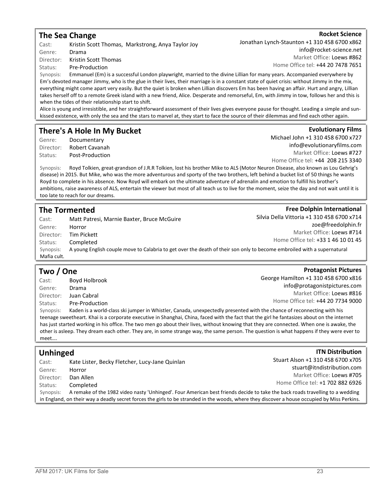### The Sea Change

Cast: Kristin Scott Thomas, Markstrong, Anya Taylor Joy Genre: Drama Director: Kristin Scott Thomas

Status: Pre-Production

Synopsis: Emmanuel (Em) is a successful London playwright, married to the divine Lillian for many years. Accompanied everywhere by Em's devoted manager Jimmy, who is the glue in their lives, their marriage is in a constant state of quiet crisis: without Jimmy in the mix, everything might come apart very easily. But the quiet is broken when Lillian discovers Em has been having an affair. Hurt and angry, Lillian takes herself off to a remote Greek island with a new friend, Alice. Desperate and remorseful, Em, with Jimmy in tow, follows her and this is when the tides of their relationship start to shift.

Alice is young and irresistible, and her straightforward assessment of their lives gives everyone pause for thought. Leading a simple and sunkissed existence, with only the sea and the stars to marvel at, they start to face the source of their dilemmas and find each other again.

### There's A Hole In My Bucket

Genre: Documentary Director: Robert Cavanah Status: Post-Production **Evolutionary Films** 

Michael John +1 310 458 6700 x727

info@evolutionaryfilms.com Market Office: Loews #727

**Free Dolphin International** 

**Protagonist Pictures** 

**ITN Distribution** 

Home Office tel: +44 208 215 3340

Synopsis: Royd Tolkien, great-grandson of J.R.R Tolkien, lost his brother Mike to ALS (Motor Neuron Disease, also known as Lou Gehrig's disease) in 2015. But Mike, who was the more adventurous and sporty of the two brothers, left behind a bucket list of 50 things he wants Royd to complete in his absence. Now Royd will embark on the ultimate adventure of adrenalin and emotion to fulfill his brother's ambitions, raise awareness of ALS, entertain the viewer but most of all teach us to live for the moment, seize the day and not wait until it is too late to reach for our dreams.

### The Tormented

| Cast:       | Matt Patresi, Marnie Baxter, Bruce McGuire                                                                              | Silvia Della Vittoria +1 310 458 6700 x714 |
|-------------|-------------------------------------------------------------------------------------------------------------------------|--------------------------------------------|
| Genre:      | Horror                                                                                                                  | zoe@freedolphin.fr                         |
| Director:   | Tim Pickett                                                                                                             | Market Office: Loews #714                  |
| Status:     | Completed                                                                                                               | Home Office tel: +33 1 46 10 01 45         |
| Synopsis:   | A young English couple move to Calabria to get over the death of their son only to become embroiled with a supernatural |                                            |
| Mafia cult. |                                                                                                                         |                                            |
|             |                                                                                                                         |                                            |

### Two / One

| Cast:     | Boyd Holbrook                                                                                                          | George Hamilton +1 310 458 6700 x816                                                                                                        |
|-----------|------------------------------------------------------------------------------------------------------------------------|---------------------------------------------------------------------------------------------------------------------------------------------|
| Genre:    | Drama                                                                                                                  | info@protagonistpictures.com                                                                                                                |
| Director: | Juan Cabral                                                                                                            | Market Office: Loews #816                                                                                                                   |
| Status:   | Pre-Production                                                                                                         | Home Office tel: +44 20 7734 9000                                                                                                           |
| Synopsis: | Kaden is a world-class ski jumper in Whistler, Canada, unexpectedly presented with the chance of reconnecting with his |                                                                                                                                             |
|           |                                                                                                                        | teenage sweetheart. Khai is a corporate executive in Shanghai, China, faced with the fact that the girl he fantasizes about on the internet |
|           |                                                                                                                        | 【Loo then cappaign interaction』は、「【to allow and controlled the traditions」は、これには、またのは、またのは、これには、これは、 11月11日 12月12日 12月20日                   |

has just started working in his office. The two men go about their lives, without knowing that they are connected. When one is awake, the other is asleep. They dream each other. They are, in some strange way, the same person. The question is what happens if they were ever to meet….

### Unhinged

| Cast:     | Kate Lister, Becky Fletcher, Lucy-Jane Quinlan                                                                                               | Stuart Alson +1 310 458 6700 x705 |
|-----------|----------------------------------------------------------------------------------------------------------------------------------------------|-----------------------------------|
| Genre:    | Horror                                                                                                                                       | stuart@itndistribution.com        |
| Director: | Dan Allen                                                                                                                                    | Market Office: Loews #705         |
| Status:   | Completed                                                                                                                                    | Home Office tel: +1 702 882 6926  |
| Synopsis: | A remake of the 1982 video nasty 'Unhinged'. Four American best friends decide to take the back roads travelling to a wedding                |                                   |
|           | in England, on their way a deadly secret forces the girls to be stranded in the woods, where they discover a house occupied by Miss Perkins. |                                   |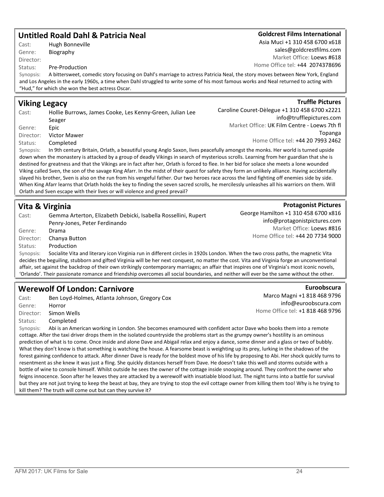AFM 2017: UK Films for Sale 24

### Untitled Roald Dahl & Patricia Neal

Cast: Hugh Bonneville Genre: Biography Director:

#### Status: Pre-Production

Synopsis: A bittersweet, comedic story focusing on Dahl's marriage to actress Patricia Neal, the story moves between New York, England and Los Angeles in the early 1960s, a time when Dahl struggled to write some of his most famous works and Neal returned to acting with "Hud," for which she won the best actress Oscar.

### Viking Legacy

Cast: Hollie Burrows, James Cooke, Les Kenny-Green, Julian Lee Seager Genre: Epic Director: Victor Mawer Status: Completed

Synopsis: In 9th century Britain, Orlath, a beautiful young Anglo Saxon, lives peacefully amongst the monks. Her world is turned upside down when the monastery is attacked by a group of deadly Vikings in search of mysterious scrolls. Learning from her guardian that she is destined for greatness and that the Vikings are in fact after her, Orlath is forced to flee. In her bid for solace she meets a lone wounded Viking called Sven, the son of the savage King Afarr. In the midst of their quest for safety they form an unlikely alliance. Having accidentally slayed his brother, Sven is also on the run from his vengeful father. Our two heroes race across the land fighting off enemies side by side. When King Afarr learns that Orlath holds the key to finding the seven sacred scrolls, he mercilessly unleashes all his warriors on them. Will Orlath and Sven escape with their lives or will violence and greed prevail?

### Vita & Virginia

Cast: Gemma Arterton, Elizabeth Debicki, Isabella Rossellini, Rupert Penry-Jones, Peter Ferdinando Genre: Drama Director: Chanya Button Status: Production George Hamilton +1 310 458 6700 x816 info@protagonistpictures.com Market Office: Loews #816 Home Office tel: +44 20 7734 9000 Synopsis: Socialite Vita and literary icon Virginia run in different circles in 1920s London. When the two cross paths, the magnetic Vita decides the beguiling, stubborn and gifted Virginia will be her next conquest, no matter the cost. Vita and Virginia forge an unconventional affair, set against the backdrop of their own strikingly contemporary marriages; an affair that inspires one of Virginia's most iconic novels, 'Orlando'. Their passionate romance and friendship overcomes all social boundaries, and neither will ever be the same without the other.

### Werewolf Of London: Carnivore

Cast: Ben Loyd-Holmes, Atlanta Johnson, Gregory Cox Genre: Horror Director: Simon Wells

Status: Completed

Synopsis: Abi is an American working in London. She becomes enamoured with confident actor Dave who books them into a remote cottage. After the taxi driver drops them in the isolated countryside the problems start as the grumpy owner's hostility is an ominous prediction of what is to come. Once inside and alone Dave and Abigail relax and enjoy a dance, some dinner and a glass or two of bubbly. What they don't know is that something is watching the house. A fearsome beast is weighting up its prey, lurking in the shadows of the forest gaining confidence to attack. After dinner Dave is ready for the boldest move of his life by proposing to Abi. Her shock quickly turns to resentment as she knew it was just a fling. She quickly distances herself from Dave. He doesn't take this well and storms outside with a bottle of wine to console himself. Whilst outside he sees the owner of the cottage inside snooping around. They confront the owner who feigns innocence. Soon after he leaves they are attacked by a werewolf with insatiable blood lust. The night turns into a battle for survival but they are not just trying to keep the beast at bay, they are trying to stop the evil cottage owner from killing them too! Why is he trying to kill them? The truth will come out but can they survive it?

**Protagonist Pictures** 

Euroobscura

Marco Magni +1 818 468 9796 info@euroobscura.com

Home Office tel: +1 818 468 9796

**Truffle Pictures** 

Caroline Couret-Dèlegue +1 310 458 6700 x2221 info@trufflepictures.com Market Office: UK Film Centre - Loews 7th fl Topanga Home Office tel: +44 20 7993 2462

### Goldcrest Films International

Asia Muci +1 310 458 6700 x618 sales@goldcrestfilms.com Market Office: Loews #618 Home Office tel: +44 2074378696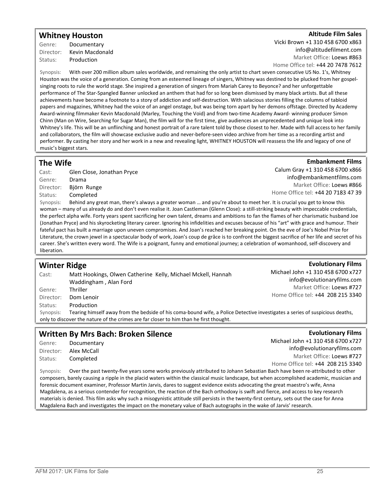### Whitney Houston

Genre: Documentary Director: Kevin Macdonald Status: Production

### TAltitude Film Sales

Vicki Brown +1 310 458 6700 x863 info@altitudefilment.com Market Office: Loews #863

Home Office tel: +44 20 7478 7612

Synopsis: With over 200 million album sales worldwide, and remaining the only artist to chart seven consecutive US No. 1's, Whitney Houston was the voice of a generation. Coming from an esteemed lineage of singers, Whitney was destined to be plucked from her gospelsinging roots to rule the world stage. She inspired a generation of singers from Mariah Carey to Beyonce? and her unforgettable performance of The Star-Spangled Banner unlocked an anthem that had for so long been dismissed by many black artists. But all these achievements have become a footnote to a story of addiction and self-destruction. With salacious stories filling the columns of tabloid papers and magazines, Whitney had the voice of an angel onstage, but was being torn apart by her demons offstage. Directed by Academy Award-winning filmmaker Kevin Macdonald (Marley, Touching the Void) and from two-time Academy Award- winning producer Simon Chinn (Man on Wire, Searching for Sugar Man), the film will for the first time, give audiences an unprecedented and unique look into Whitney's life. This will be an unflinching and honest portrait of a rare talent told by those closest to her. Made with full access to her family and collaborators, the film will showcase exclusive audio and never-before-seen video archive from her time as a recording artist and performer. By casting her story and her work in a new and revealing light, WHITNEY HOUSTON will reassess the life and legacy of one of music's biggest stars.

### The Wife

Status: Completed

Cast: Glen Close, Jonathan Pryce Genre: Drama Director: Björn Runge

Calum Gray +1 310 458 6700 x866 info@embankmentfilms.com Market Office: Loews #866 Home Office tel: +44 20 7183 47 39

**Embankment Films** 

Synopsis: Behind any great man, there's always a greater woman ... and you're about to meet her. It is crucial you get to know this woman – many of us already do and don't even realise it. Joan Castleman (Glenn Close): a still-striking beauty with impeccable credentials, the perfect alpha wife. Forty years spent sacrificing her own talent, dreams and ambitions to fan the flames of her charismatic husband Joe (Jonathan Pryce) and his skyrocketing literary career. Ignoring his infidelities and excuses because of his "art" with grace and humour. Their fateful pact has built a marriage upon uneven compromises. And Joan's reached her breaking point. On the eve of Joe's Nobel Prize for Literature, the crown jewel in a spectacular body of work, Joan's coup de grâce is to confront the biggest sacrifice of her life and secret of his career. She's written every word. The Wife is a poignant, funny and emotional journey; a celebration of womanhood, self-discovery and liberation.

#### Winter Ridge Cast: Matt Hookings, Olwen Catherine Kelly, Michael Mckell, Hannah Waddingham , Alan Ford Genre: Thriller Director: Dom Lenoir Status: Production **Evolutionary Films** Michael John +1 310 458 6700 x727 info@evolutionaryfilms.com Market Office: Loews #727 Home Office tel: +44 208 215 3340 Synopsis: Tearing himself away from the bedside of his coma-bound wife, a Police Detective investigates a series of suspicious deaths, only to discover the nature of the crimes are far closer to him than he first thought. **Evolutionary Films**

### Written By Mrs Bach: Broken Silence

Genre: Documentary Director: Alex McCall Status: Completed

Michael John +1 310 458 6700 x727 info@evolutionaryfilms.com Market Office: Loews #727 Home Office tel: +44 208 215 3340

Synopsis: Over the past twenty-five years some works previously attributed to Johann Sebastian Bach have been re-attributed to other composers, barely causing a ripple in the placid waters within the classical music landscape, but when accomplished academic, musician and forensic document examiner, Professor Martin Jarvis, dares to suggest evidence exists advocating the great maestro's wife, Anna Magdalena, as a serious contender for recognition, the reaction of the Bach orthodoxy is swift and fierce, and access to key research materials is denied. This film asks why such a misogynistic attitude still persists in the twenty-first century, sets out the case for Anna Magdalena Bach and investigates the impact on the monetary value of Bach autographs in the wake of Jarvis' research.